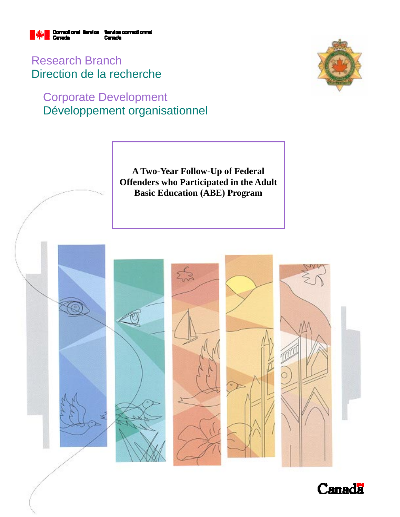

Research Branch Direction de la recherche

# Corporate Development Développement organisationnel



**A Two-Year Follow-Up of Federal Offenders who Participated in the Adult Basic Education (ABE) Program** 



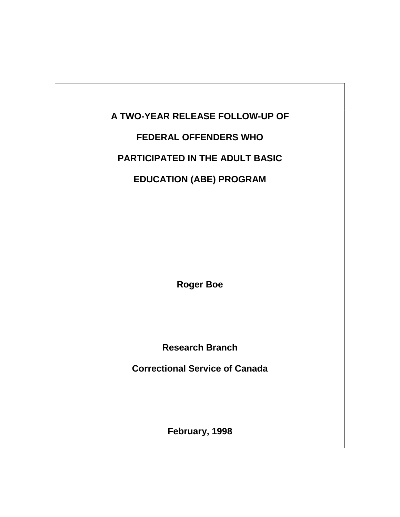# **A TWO-YEAR RELEASE FOLLOW-UP OF**

## **FEDERAL OFFENDERS WHO**

## **PARTICIPATED IN THE ADULT BASIC**

# **EDUCATION (ABE) PROGRAM**

**Roger Boe**

**Research Branch**

**Correctional Service of Canada**

**February, 1998**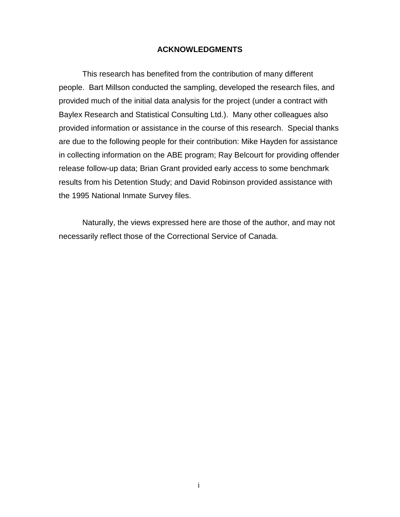#### **ACKNOWLEDGMENTS**

This research has benefited from the contribution of many different people. Bart Millson conducted the sampling, developed the research files, and provided much of the initial data analysis for the project (under a contract with Baylex Research and Statistical Consulting Ltd.). Many other colleagues also provided information or assistance in the course of this research. Special thanks are due to the following people for their contribution: Mike Hayden for assistance in collecting information on the ABE program; Ray Belcourt for providing offender release follow-up data; Brian Grant provided early access to some benchmark results from his Detention Study; and David Robinson provided assistance with the 1995 National Inmate Survey files.

Naturally, the views expressed here are those of the author, and may not necessarily reflect those of the Correctional Service of Canada.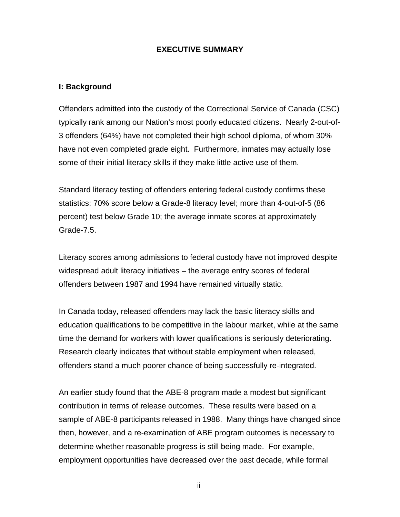## **EXECUTIVE SUMMARY**

#### **I: Background**

Offenders admitted into the custody of the Correctional Service of Canada (CSC) typically rank among our Nation's most poorly educated citizens. Nearly 2-out-of-3 offenders (64%) have not completed their high school diploma, of whom 30% have not even completed grade eight. Furthermore, inmates may actually lose some of their initial literacy skills if they make little active use of them.

Standard literacy testing of offenders entering federal custody confirms these statistics: 70% score below a Grade-8 literacy level; more than 4-out-of-5 (86 percent) test below Grade 10; the average inmate scores at approximately Grade-7.5.

Literacy scores among admissions to federal custody have not improved despite widespread adult literacy initiatives – the average entry scores of federal offenders between 1987 and 1994 have remained virtually static.

In Canada today, released offenders may lack the basic literacy skills and education qualifications to be competitive in the labour market, while at the same time the demand for workers with lower qualifications is seriously deteriorating. Research clearly indicates that without stable employment when released, offenders stand a much poorer chance of being successfully re-integrated.

An earlier study found that the ABE-8 program made a modest but significant contribution in terms of release outcomes. These results were based on a sample of ABE-8 participants released in 1988. Many things have changed since then, however, and a re-examination of ABE program outcomes is necessary to determine whether reasonable progress is still being made. For example, employment opportunities have decreased over the past decade, while formal

ii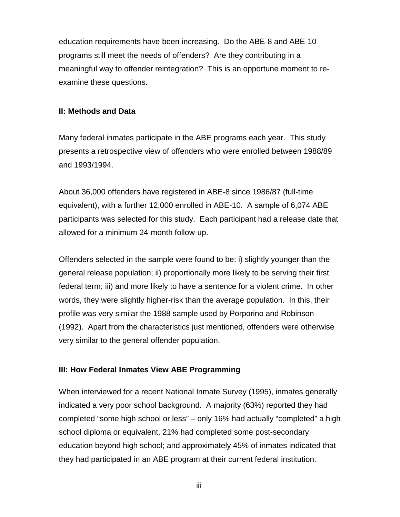education requirements have been increasing. Do the ABE-8 and ABE-10 programs still meet the needs of offenders? Are they contributing in a meaningful way to offender reintegration? This is an opportune moment to reexamine these questions.

#### **II: Methods and Data**

Many federal inmates participate in the ABE programs each year. This study presents a retrospective view of offenders who were enrolled between 1988/89 and 1993/1994.

About 36,000 offenders have registered in ABE-8 since 1986/87 (full-time equivalent), with a further 12,000 enrolled in ABE-10. A sample of 6,074 ABE participants was selected for this study. Each participant had a release date that allowed for a minimum 24-month follow-up.

Offenders selected in the sample were found to be: i) slightly younger than the general release population; ii) proportionally more likely to be serving their first federal term; iii) and more likely to have a sentence for a violent crime. In other words, they were slightly higher-risk than the average population. In this, their profile was very similar the 1988 sample used by Porporino and Robinson (1992). Apart from the characteristics just mentioned, offenders were otherwise very similar to the general offender population.

### **III: How Federal Inmates View ABE Programming**

When interviewed for a recent National Inmate Survey (1995), inmates generally indicated a very poor school background. A majority (63%) reported they had completed "some high school or less" – only 16% had actually "completed" a high school diploma or equivalent, 21% had completed some post-secondary education beyond high school; and approximately 45% of inmates indicated that they had participated in an ABE program at their current federal institution.

iii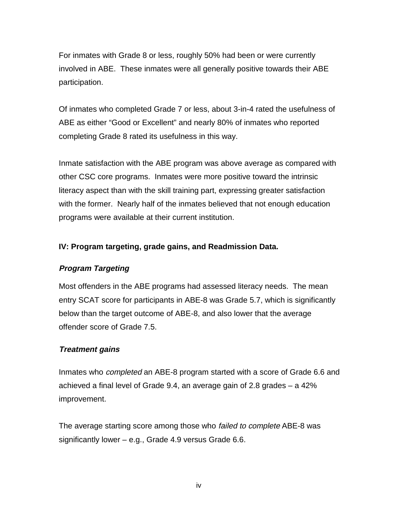For inmates with Grade 8 or less, roughly 50% had been or were currently involved in ABE. These inmates were all generally positive towards their ABE participation.

Of inmates who completed Grade 7 or less, about 3-in-4 rated the usefulness of ABE as either "Good or Excellent" and nearly 80% of inmates who reported completing Grade 8 rated its usefulness in this way.

Inmate satisfaction with the ABE program was above average as compared with other CSC core programs. Inmates were more positive toward the intrinsic literacy aspect than with the skill training part, expressing greater satisfaction with the former. Nearly half of the inmates believed that not enough education programs were available at their current institution.

## **IV: Program targeting, grade gains, and Readmission Data.**

## **Program Targeting**

Most offenders in the ABE programs had assessed literacy needs. The mean entry SCAT score for participants in ABE-8 was Grade 5.7, which is significantly below than the target outcome of ABE-8, and also lower that the average offender score of Grade 7.5.

### **Treatment gains**

Inmates who completed an ABE-8 program started with a score of Grade 6.6 and achieved a final level of Grade 9.4, an average gain of 2.8 grades – a 42% improvement.

The average starting score among those who *failed to complete* ABE-8 was significantly lower – e.g., Grade 4.9 versus Grade 6.6.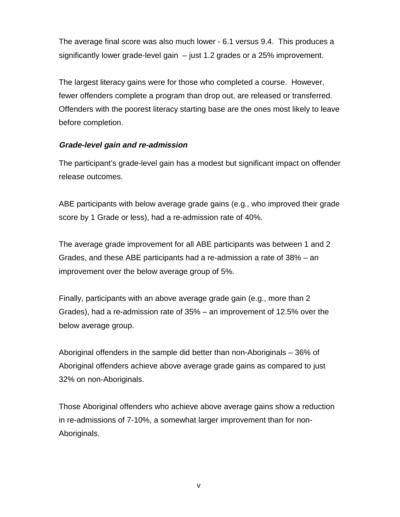The average final score was also much lower - 6.1 versus 9.4. This produces a significantly lower grade-level gain – just 1.2 grades or a 25% improvement.

The largest literacy gains were for those who completed a course. However, fewer offenders complete a program than drop out, are released or transferred. Offenders with the poorest literacy starting base are the ones most likely to leave before completion.

## **Grade-level gain and re-admission**

The participant's grade-level gain has a modest but significant impact on offender release outcomes.

ABE participants with below average grade gains (e.g., who improved their grade score by 1 Grade or less), had a re-admission rate of 40%.

The average grade improvement for all ABE participants was between 1 and 2 Grades, and these ABE participants had a re-admission a rate of 38% – an improvement over the below average group of 5%.

Finally, participants with an above average grade gain (e.g., more than 2 Grades), had a re-admission rate of 35% – an improvement of 12.5% over the below average group.

Aboriginal offenders in the sample did better than non-Aboriginals – 36% of Aboriginal offenders achieve above average grade gains as compared to just 32% on non-Aboriginals.

Those Aboriginal offenders who achieve above average gains show a reduction in re-admissions of 7-10%, a somewhat larger improvement than for non-Aboriginals.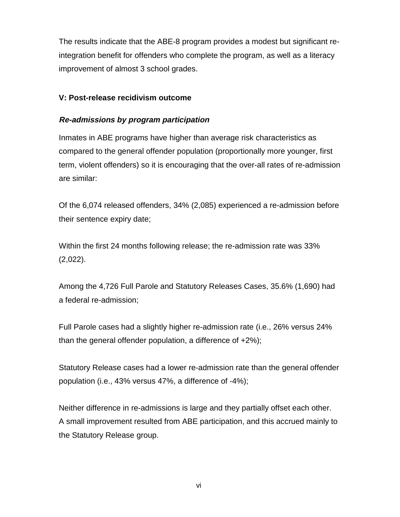The results indicate that the ABE-8 program provides a modest but significant reintegration benefit for offenders who complete the program, as well as a literacy improvement of almost 3 school grades.

## **V: Post-release recidivism outcome**

## **Re-admissions by program participation**

Inmates in ABE programs have higher than average risk characteristics as compared to the general offender population (proportionally more younger, first term, violent offenders) so it is encouraging that the over-all rates of re-admission are similar:

Of the 6,074 released offenders, 34% (2,085) experienced a re-admission before their sentence expiry date;

Within the first 24 months following release; the re-admission rate was 33% (2,022).

Among the 4,726 Full Parole and Statutory Releases Cases, 35.6% (1,690) had a federal re-admission;

Full Parole cases had a slightly higher re-admission rate (i.e., 26% versus 24% than the general offender population, a difference of +2%);

Statutory Release cases had a lower re-admission rate than the general offender population (i.e., 43% versus 47%, a difference of -4%);

Neither difference in re-admissions is large and they partially offset each other. A small improvement resulted from ABE participation, and this accrued mainly to the Statutory Release group.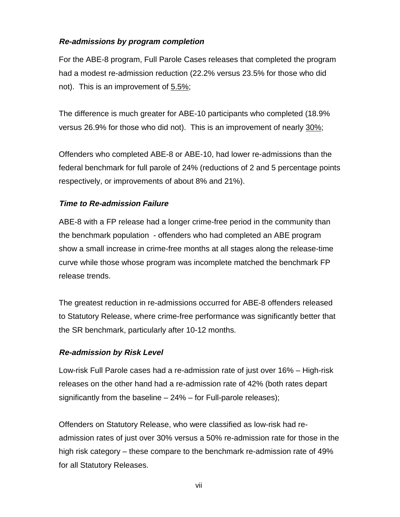## **Re-admissions by program completion**

For the ABE-8 program, Full Parole Cases releases that completed the program had a modest re-admission reduction (22.2% versus 23.5% for those who did not). This is an improvement of 5.5%;

The difference is much greater for ABE-10 participants who completed (18.9% versus 26.9% for those who did not). This is an improvement of nearly 30%;

Offenders who completed ABE-8 or ABE-10, had lower re-admissions than the federal benchmark for full parole of 24% (reductions of 2 and 5 percentage points respectively, or improvements of about 8% and 21%).

## **Time to Re-admission Failure**

ABE-8 with a FP release had a longer crime-free period in the community than the benchmark population - offenders who had completed an ABE program show a small increase in crime-free months at all stages along the release-time curve while those whose program was incomplete matched the benchmark FP release trends.

The greatest reduction in re-admissions occurred for ABE-8 offenders released to Statutory Release, where crime-free performance was significantly better that the SR benchmark, particularly after 10-12 months.

## **Re-admission by Risk Level**

Low-risk Full Parole cases had a re-admission rate of just over 16% – High-risk releases on the other hand had a re-admission rate of 42% (both rates depart significantly from the baseline – 24% – for Full-parole releases);

Offenders on Statutory Release, who were classified as low-risk had readmission rates of just over 30% versus a 50% re-admission rate for those in the high risk category – these compare to the benchmark re-admission rate of 49% for all Statutory Releases.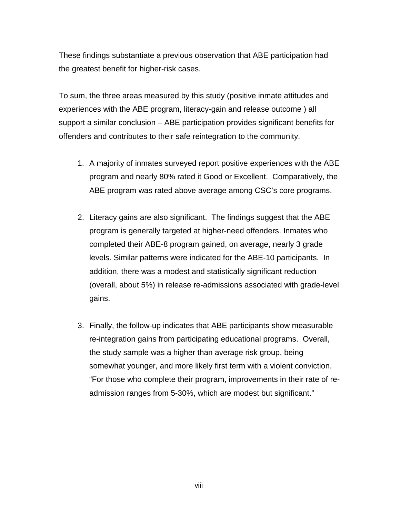These findings substantiate a previous observation that ABE participation had the greatest benefit for higher-risk cases.

To sum, the three areas measured by this study (positive inmate attitudes and experiences with the ABE program, literacy-gain and release outcome ) all support a similar conclusion – ABE participation provides significant benefits for offenders and contributes to their safe reintegration to the community.

- 1. A majority of inmates surveyed report positive experiences with the ABE program and nearly 80% rated it Good or Excellent. Comparatively, the ABE program was rated above average among CSC's core programs.
- 2. Literacy gains are also significant. The findings suggest that the ABE program is generally targeted at higher-need offenders. Inmates who completed their ABE-8 program gained, on average, nearly 3 grade levels. Similar patterns were indicated for the ABE-10 participants. In addition, there was a modest and statistically significant reduction (overall, about 5%) in release re-admissions associated with grade-level gains.
- 3. Finally, the follow-up indicates that ABE participants show measurable re-integration gains from participating educational programs. Overall, the study sample was a higher than average risk group, being somewhat younger, and more likely first term with a violent conviction. "For those who complete their program, improvements in their rate of readmission ranges from 5-30%, which are modest but significant."

viii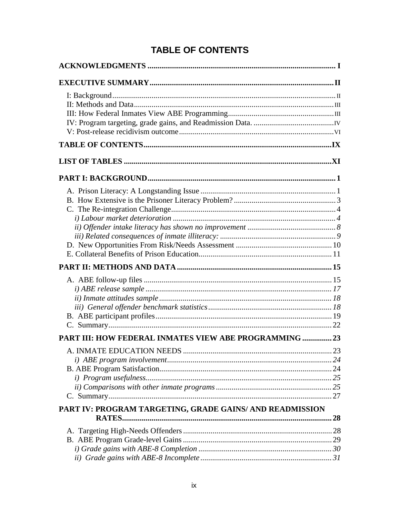# **TABLE OF CONTENTS**

| <b>PART III: HOW FEDERAL INMATES VIEW ABE PROGRAMMING  23</b> |  |
|---------------------------------------------------------------|--|
|                                                               |  |
| PART IV: PROGRAM TARGETING, GRADE GAINS/ AND READMISSION      |  |
|                                                               |  |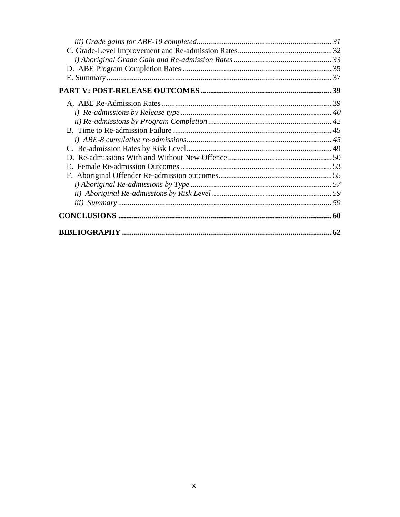| 62 |
|----|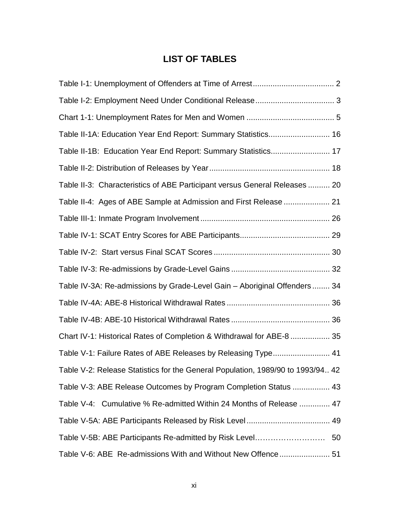## **LIST OF TABLES**

| Table II-1A: Education Year End Report: Summary Statistics 16                   |  |
|---------------------------------------------------------------------------------|--|
| Table II-1B: Education Year End Report: Summary Statistics 17                   |  |
|                                                                                 |  |
| Table II-3: Characteristics of ABE Participant versus General Releases  20      |  |
| Table II-4: Ages of ABE Sample at Admission and First Release  21               |  |
|                                                                                 |  |
|                                                                                 |  |
|                                                                                 |  |
|                                                                                 |  |
| Table IV-3A: Re-admissions by Grade-Level Gain - Aboriginal Offenders 34        |  |
|                                                                                 |  |
|                                                                                 |  |
| Chart IV-1: Historical Rates of Completion & Withdrawal for ABE-8  35           |  |
| Table V-1: Failure Rates of ABE Releases by Releasing Type 41                   |  |
| Table V-2: Release Statistics for the General Population, 1989/90 to 1993/94 42 |  |
| Table V-3: ABE Release Outcomes by Program Completion Status  43                |  |
| Table V-4: Cumulative % Re-admitted Within 24 Months of Release  47             |  |
|                                                                                 |  |
|                                                                                 |  |
| Table V-6: ABE Re-admissions With and Without New Offence 51                    |  |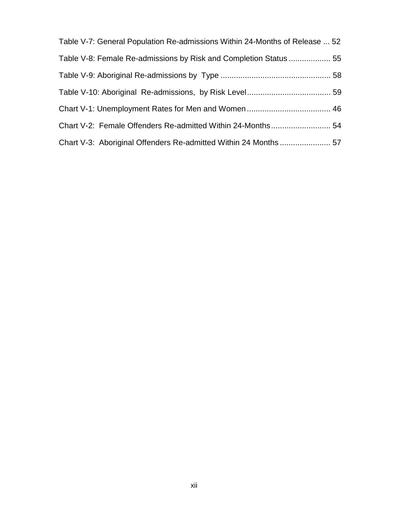| Table V-7: General Population Re-admissions Within 24-Months of Release  52 |  |
|-----------------------------------------------------------------------------|--|
| Table V-8: Female Re-admissions by Risk and Completion Status  55           |  |
|                                                                             |  |
|                                                                             |  |
|                                                                             |  |
|                                                                             |  |
|                                                                             |  |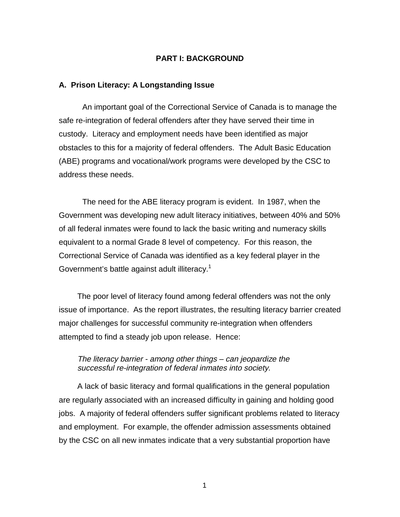### **PART I: BACKGROUND**

#### **A. Prison Literacy: A Longstanding Issue**

An important goal of the Correctional Service of Canada is to manage the safe re-integration of federal offenders after they have served their time in custody. Literacy and employment needs have been identified as major obstacles to this for a majority of federal offenders. The Adult Basic Education (ABE) programs and vocational/work programs were developed by the CSC to address these needs.

The need for the ABE literacy program is evident. In 1987, when the Government was developing new adult literacy initiatives, between 40% and 50% of all federal inmates were found to lack the basic writing and numeracy skills equivalent to a normal Grade 8 level of competency. For this reason, the Correctional Service of Canada was identified as a key federal player in the Government's battle against adult illiteracy.<sup>1</sup>

The poor level of literacy found among federal offenders was not the only issue of importance. As the report illustrates, the resulting literacy barrier created major challenges for successful community re-integration when offenders attempted to find a steady job upon release. Hence:

#### The literacy barrier - among other things – can jeopardize the successful re-integration of federal inmates into society.

A lack of basic literacy and formal qualifications in the general population are regularly associated with an increased difficulty in gaining and holding good jobs. A majority of federal offenders suffer significant problems related to literacy and employment. For example, the offender admission assessments obtained by the CSC on all new inmates indicate that a very substantial proportion have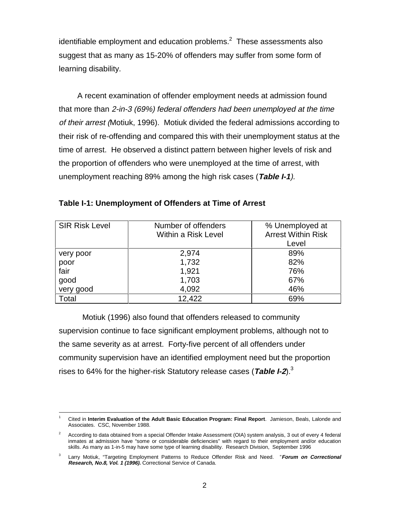identifiable employment and education problems. $^2$  These assessments also suggest that as many as 15-20% of offenders may suffer from some form of learning disability.

A recent examination of offender employment needs at admission found that more than 2-in-3 (69%) federal offenders had been unemployed at the time of their arrest (Motiuk, 1996). Motiuk divided the federal admissions according to their risk of re-offending and compared this with their unemployment status at the time of arrest. He observed a distinct pattern between higher levels of risk and the proportion of offenders who were unemployed at the time of arrest, with unemployment reaching 89% among the high risk cases (**Table I-1**).

| <b>SIR Risk Level</b> | Number of offenders<br>Within a Risk Level | % Unemployed at<br><b>Arrest Within Risk</b><br>Level |
|-----------------------|--------------------------------------------|-------------------------------------------------------|
| very poor             | 2,974                                      | 89%                                                   |
| poor                  | 1,732                                      | 82%                                                   |
| fair                  | 1,921                                      | 76%                                                   |
| good                  | 1,703                                      | 67%                                                   |
| very good             | 4,092                                      | 46%                                                   |
| Total                 | 12,422                                     | 69%                                                   |

**Table I-1: Unemployment of Offenders at Time of Arrest**

Motiuk (1996) also found that offenders released to community supervision continue to face significant employment problems, although not to the same severity as at arrest. Forty-five percent of all offenders under community supervision have an identified employment need but the proportion rises to 64% for the higher-risk Statutory release cases (**Table I-2**).3

 $\frac{1}{1}$  Cited in **Interim Evaluation of the Adult Basic Education Program: Final Report**. Jamieson, Beals, Lalonde and Associates. CSC, November 1988.

<sup>2</sup> According to data obtained from a special Offender Intake Assessment (OIA) system analysis, 3 out of every 4 federal inmates at admission have "some or considerable deficiencies" with regard to their employment and/or education skills. As many as 1-in-5 may have some type of learning disability. Research Division, September 1996

<sup>3</sup> Larry Motiuk, "Targeting Employment Patterns to Reduce Offender Risk and Need. "**Forum on Correctional Research, No.8, Vol. 1 (1996).** Correctional Service of Canada.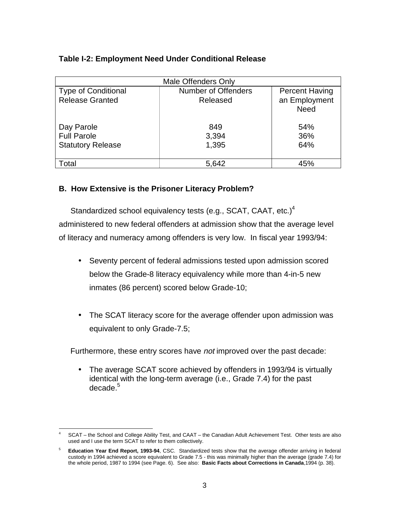## **Table I-2: Employment Need Under Conditional Release**

| <b>Male Offenders Only</b>                           |                                        |                                                       |  |  |
|------------------------------------------------------|----------------------------------------|-------------------------------------------------------|--|--|
| <b>Type of Conditional</b><br><b>Release Granted</b> | <b>Number of Offenders</b><br>Released | <b>Percent Having</b><br>an Employment<br><b>Need</b> |  |  |
| Day Parole                                           | 849                                    | 54%                                                   |  |  |
| <b>Full Parole</b>                                   | 3,394                                  | 36%                                                   |  |  |
| <b>Statutory Release</b>                             | 1,395                                  | 64%                                                   |  |  |
| <sup>-</sup> otal                                    | 5,642                                  | 45%                                                   |  |  |

## **B. How Extensive is the Prisoner Literacy Problem?**

Standardized school equivalency tests (e.g., SCAT, CAAT, etc.) $<sup>4</sup>$ </sup> administered to new federal offenders at admission show that the average level of literacy and numeracy among offenders is very low. In fiscal year 1993/94:

- Seventy percent of federal admissions tested upon admission scored below the Grade-8 literacy equivalency while more than 4-in-5 new inmates (86 percent) scored below Grade-10;
- The SCAT literacy score for the average offender upon admission was equivalent to only Grade-7.5;

Furthermore, these entry scores have not improved over the past decade:

• The average SCAT score achieved by offenders in 1993/94 is virtually identical with the long-term average (i.e., Grade 7.4) for the past decade.<sup>5</sup>

 $\overline{a}$ <sup>4</sup> SCAT – the School and College Ability Test, and CAAT – the Canadian Adult Achievement Test. Other tests are also used and I use the term SCAT to refer to them collectively.

<sup>5</sup> **Education Year End Report, 1993-94**, CSC. Standardized tests show that the average offender arriving in federal custody in 1994 achieved a score equivalent to Grade 7.5 - this was minimally higher than the average (grade 7.4) for the whole period, 1987 to 1994 (see Page. 6).See also: **Basic Facts about Corrections in Canada**,1994 (p. 38).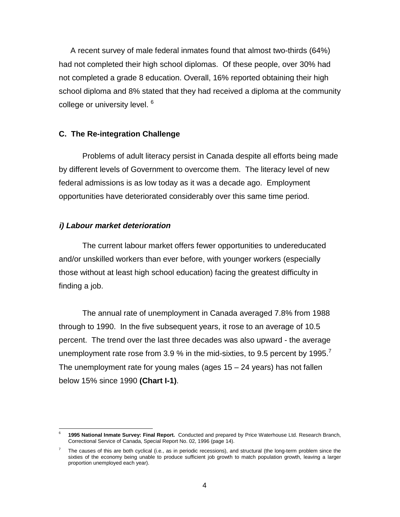A recent survey of male federal inmates found that almost two-thirds (64%) had not completed their high school diplomas. Of these people, over 30% had not completed a grade 8 education. Overall, 16% reported obtaining their high school diploma and 8% stated that they had received a diploma at the community college or university level. <sup>6</sup>

#### **C. The Re-integration Challenge**

Problems of adult literacy persist in Canada despite all efforts being made by different levels of Government to overcome them. The literacy level of new federal admissions is as low today as it was a decade ago. Employment opportunities have deteriorated considerably over this same time period.

#### **i) Labour market deterioration**

The current labour market offers fewer opportunities to undereducated and/or unskilled workers than ever before, with younger workers (especially those without at least high school education) facing the greatest difficulty in finding a job.

The annual rate of unemployment in Canada averaged 7.8% from 1988 through to 1990. In the five subsequent years, it rose to an average of 10.5 percent. The trend over the last three decades was also upward - the average unemployment rate rose from 3.9 % in the mid-sixties, to 9.5 percent by 1995. The unemployment rate for young males (ages  $15 - 24$  years) has not fallen below 15% since 1990 **(Chart I-1)**.

 $\overline{a}$ <sup>6</sup> **1995 National Inmate Survey: Final Report.** Conducted and prepared by Price Waterhouse Ltd. Research Branch, Correctional Service of Canada, Special Report No. 02, 1996 (page 14).

<sup>7</sup> The causes of this are both cyclical (i.e., as in periodic recessions), and structural (the long-term problem since the sixties of the economy being unable to produce sufficient job growth to match population growth, leaving a larger proportion unemployed each year).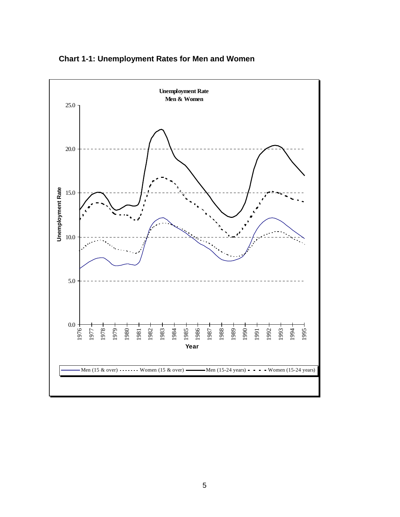

**Chart 1-1: Unemployment Rates for Men and Women**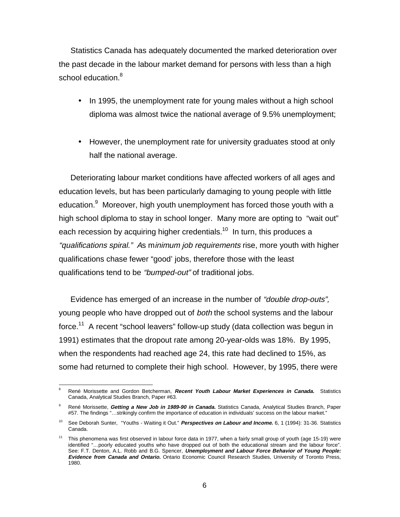Statistics Canada has adequately documented the marked deterioration over the past decade in the labour market demand for persons with less than a high school education.<sup>8</sup>

- In 1995, the unemployment rate for young males without a high school diploma was almost twice the national average of 9.5% unemployment;
- However, the unemployment rate for university graduates stood at only half the national average.

Deteriorating labour market conditions have affected workers of all ages and education levels, but has been particularly damaging to young people with little education.<sup>9</sup> Moreover, high youth unemployment has forced those youth with a high school diploma to stay in school longer. Many more are opting to "wait out" each recession by acquiring higher credentials.<sup>10</sup> In turn, this produces a "qualifications spiral." As minimum job requirements rise, more youth with higher qualifications chase fewer "good' jobs, therefore those with the least qualifications tend to be "bumped-out" of traditional jobs.

Evidence has emerged of an increase in the number of "double drop-outs", young people who have dropped out of both the school systems and the labour force.<sup>11</sup> A recent "school leavers" follow-up study (data collection was begun in 1991) estimates that the dropout rate among 20-year-olds was 18%. By 1995, when the respondents had reached age 24, this rate had declined to 15%, as some had returned to complete their high school. However, by 1995, there were

 $\overline{a}$ <sup>8</sup> René Morissette and Gordon Betcherman, **Recent Youth Labour Market Experiences in Canada.** Statistics Canada, Analytical Studies Branch, Paper #63.

<sup>9</sup> René Morissette, **Getting a New Job in 1989-90 in Canada.** Statistics Canada, Analytical Studies Branch, Paper #57. The findings "…strikingly confirm the importance of education in individuals' success on the labour market."

<sup>10</sup> See Deborah Sunter, "Youths - Waiting it Out." **Perspectives on Labour and Income.** 6, 1 (1994): 31-36. Statistics Canada.

<sup>&</sup>lt;sup>11</sup> This phenomena was first observed in labour force data in 1977, when a fairly small group of youth (age 15-19) were identified "…poorly educated youths who have dropped out of both the educational stream and the labour force". See: F.T. Denton, A.L. Robb and B.G. Spencer, **Unemployment and Labour Force Behavior of Young People: Evidence from Canada and Ontario.** Ontario Economic Council Research Studies, University of Toronto Press, 1980.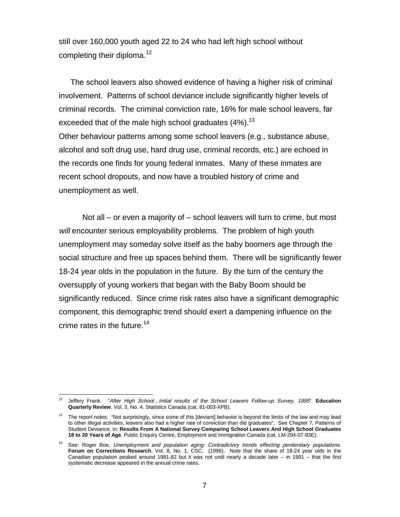still over 160,000 youth aged 22 to 24 who had left high school without completing their diploma.<sup>12</sup>

The school leavers also showed evidence of having a higher risk of criminal involvement. Patterns of school deviance include significantly higher levels of criminal records. The criminal conviction rate, 16% for male school leavers, far exceeded that of the male high school graduates (4%).<sup>13</sup> Other behaviour patterns among some school leavers (e.g., substance abuse, alcohol and soft drug use, hard drug use, criminal records, etc.) are echoed in the records one finds for young federal inmates. Many of these inmates are recent school dropouts, and now have a troubled history of crime and unemployment as well.

Not all – or even a majority of – school leavers will turn to crime, but most will encounter serious employability problems. The problem of high youth unemployment may someday solve itself as the baby boomers age through the social structure and free up spaces behind them. There will be significantly fewer 18-24 year olds in the population in the future. By the turn of the century the oversupply of young workers that began with the Baby Boom should be significantly reduced. Since crime risk rates also have a significant demographic component, this demographic trend should exert a dampening influence on the crime rates in the future.<sup>14</sup>

l <sup>12</sup> Jeffery Frank. "After High School…Initial results of the School Leavers Follow-up Survey, 1995". **Education Quarterly Review**, Vol. 3, No. 4. Statistics Canada (cat. 81-003-XPB).

<sup>&</sup>lt;sup>13</sup> The report notes: "Not surprisingly, since some of this [deviant] behavior is beyond the limits of the law and may lead to other illegal activities, leavers also had a higher rate of conviction than did graduates". See Chapter 7, Patterns of Student Deviance, in: **Results From A National Survey Comparing School Leavers And High School Graduates 18 to 20 Years of Age**. Public Enquiry Centre, Employment and Immigration Canada (cat. LM-294-07-93E).

See: Roger Boe, Unemployment and population aging: Contradictory trends effecting penitentiary populations. **Forum on Corrections Research**, Vol. 8, No. 1, CSC, (1996). Note that the share of 18-24 year olds in the Canadian population peaked around 1981-82 but it was not until nearly a decade later – in 1991 – that the first systematic decrease appeared in the annual crime rates.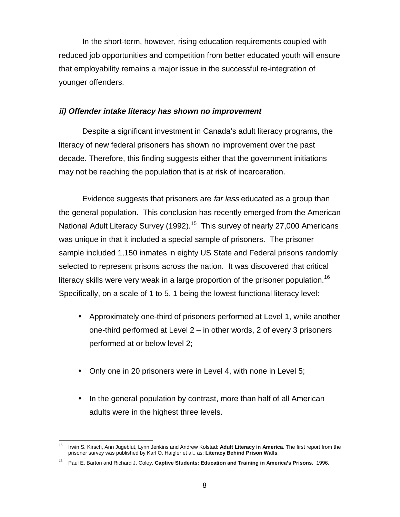In the short-term, however, rising education requirements coupled with reduced job opportunities and competition from better educated youth will ensure that employability remains a major issue in the successful re-integration of younger offenders.

#### **ii) Offender intake literacy has shown no improvement**

Despite a significant investment in Canada's adult literacy programs, the literacy of new federal prisoners has shown no improvement over the past decade. Therefore, this finding suggests either that the government initiations may not be reaching the population that is at risk of incarceration.

Evidence suggests that prisoners are far less educated as a group than the general population. This conclusion has recently emerged from the American National Adult Literacy Survey (1992).<sup>15</sup> This survey of nearly 27,000 Americans was unique in that it included a special sample of prisoners. The prisoner sample included 1,150 inmates in eighty US State and Federal prisons randomly selected to represent prisons across the nation. It was discovered that critical literacy skills were very weak in a large proportion of the prisoner population.<sup>16</sup> Specifically, on a scale of 1 to 5, 1 being the lowest functional literacy level:

- Approximately one-third of prisoners performed at Level 1, while another one-third performed at Level 2 – in other words, 2 of every 3 prisoners performed at or below level 2;
- Only one in 20 prisoners were in Level 4, with none in Level 5;
- In the general population by contrast, more than half of all American adults were in the highest three levels.

 $\overline{a}$ 15 Irwin S. Kirsch, Ann Jugeblut, Lynn Jenkins and Andrew Kolstad: **Adult Literacy in America**. The first report from the prisoner survey was published by Karl O. Haigler et al., as: **Literacy Behind Prison Walls**,

<sup>16</sup> Paul E. Barton and Richard J. Coley, **Captive Students: Education and Training in America's Prisons.** 1996.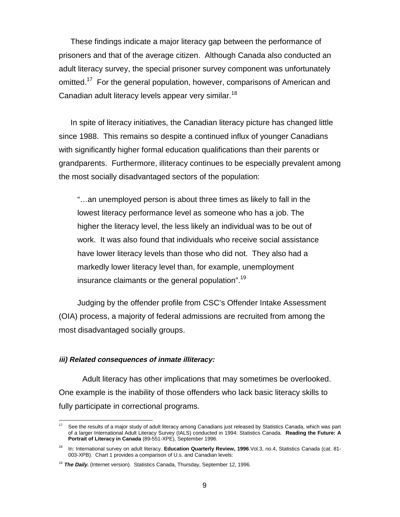These findings indicate a major literacy gap between the performance of prisoners and that of the average citizen. Although Canada also conducted an adult literacy survey, the special prisoner survey component was unfortunately omitted.<sup>17</sup> For the general population, however, comparisons of American and Canadian adult literacy levels appear very similar.<sup>18</sup>

In spite of literacy initiatives, the Canadian literacy picture has changed little since 1988. This remains so despite a continued influx of younger Canadians with significantly higher formal education qualifications than their parents or grandparents. Furthermore, illiteracy continues to be especially prevalent among the most socially disadvantaged sectors of the population:

"…an unemployed person is about three times as likely to fall in the lowest literacy performance level as someone who has a job. The higher the literacy level, the less likely an individual was to be out of work. It was also found that individuals who receive social assistance have lower literacy levels than those who did not. They also had a markedly lower literacy level than, for example, unemployment insurance claimants or the general population".<sup>19</sup>

Judging by the offender profile from CSC's Offender Intake Assessment (OIA) process, a majority of federal admissions are recruited from among the most disadvantaged socially groups.

#### **iii) Related consequences of inmate illiteracy:**

 $\overline{a}$ 

Adult literacy has other implications that may sometimes be overlooked. One example is the inability of those offenders who lack basic literacy skills to fully participate in correctional programs.

See the results of a major study of adult literacy among Canadians just released by Statistics Canada, which was part of a larger International Adult Literacy Survey (IALS) conducted in 1994: Statistics Canada. **Reading the Future: A Portrait of Literacy in Canada** (89-551-XPE), September 1996.

<sup>18</sup> In: International survey on adult literacy. **Education Quarterly Review, 1996**.Vol.3, no.4, Statistics Canada (cat. 81- 003-XPB). Chart 1 provides a comparison of U.s. and Canadian levels:

<sup>&</sup>lt;sup>19</sup> The Daily. (Internet version). Statistics Canada, Thursday, September 12, 1996.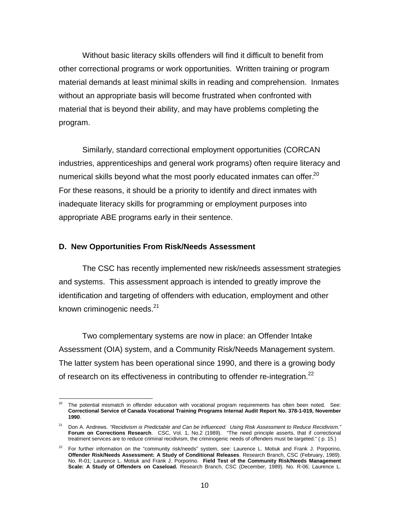Without basic literacy skills offenders will find it difficult to benefit from other correctional programs or work opportunities. Written training or program material demands at least minimal skills in reading and comprehension. Inmates without an appropriate basis will become frustrated when confronted with material that is beyond their ability, and may have problems completing the program.

Similarly, standard correctional employment opportunities (CORCAN industries, apprenticeships and general work programs) often require literacy and numerical skills beyond what the most poorly educated inmates can offer.<sup>20</sup> For these reasons, it should be a priority to identify and direct inmates with inadequate literacy skills for programming or employment purposes into appropriate ABE programs early in their sentence.

#### **D. New Opportunities From Risk/Needs Assessment**

l

The CSC has recently implemented new risk/needs assessment strategies and systems. This assessment approach is intended to greatly improve the identification and targeting of offenders with education, employment and other known criminogenic needs.<sup>21</sup>

Two complementary systems are now in place: an Offender Intake Assessment (OIA) system, and a Community Risk/Needs Management system. The latter system has been operational since 1990, and there is a growing body of research on its effectiveness in contributing to offender re-integration.<sup>22</sup>

The potential mismatch in offender education with vocational program requirements has often been noted. See: **Correctional Service of Canada Vocational Training Programs Internal Audit Report No. 378-1-019, November 1990**.

 $21$  Don A. Andrews. "Recidivism is Predictable and Can be Influenced: Using Risk Assessment to Reduce Recidivism." **Forum on Corrections Research**. CSC, Vol. 1, No.2 (1989). "The need principle asserts, that if correctional treatment services are to reduce criminal recidivism, the criminogenic needs of offenders must be targeted." ( p. 15.)

<sup>22</sup> For further information on the "community risk/needs" system, see: Laurence L. Motiuk and Frank J. Porporino, **Offender Risk/Needs Assessment: A Study of Conditional Releases**. Research Branch, CSC (February, 1989). No. R-01; Laurence L. Motiuk and Frank J. Porporino. **Field Test of the Community Risk/Needs Management Scale: A Study of Offenders on Caseload.** Research Branch, CSC (December, 1989). No. R-06; Laurence L.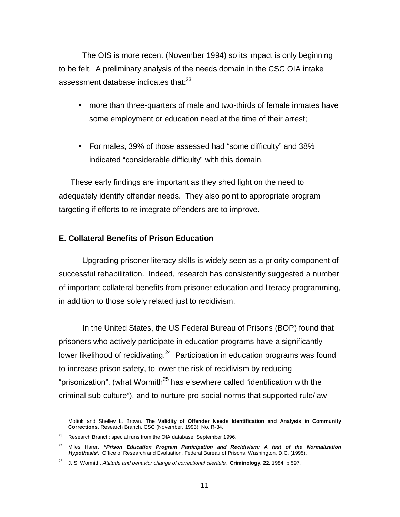The OIS is more recent (November 1994) so its impact is only beginning to be felt. A preliminary analysis of the needs domain in the CSC OIA intake assessment database indicates that:<sup>23</sup>

- more than three-quarters of male and two-thirds of female inmates have some employment or education need at the time of their arrest;
- For males, 39% of those assessed had "some difficulty" and 38% indicated "considerable difficulty" with this domain.

These early findings are important as they shed light on the need to adequately identify offender needs. They also point to appropriate program targeting if efforts to re-integrate offenders are to improve.

#### **E. Collateral Benefits of Prison Education**

Upgrading prisoner literacy skills is widely seen as a priority component of successful rehabilitation. Indeed, research has consistently suggested a number of important collateral benefits from prisoner education and literacy programming, in addition to those solely related just to recidivism.

In the United States, the US Federal Bureau of Prisons (BOP) found that prisoners who actively participate in education programs have a significantly lower likelihood of recidivating. $24$  Participation in education programs was found to increase prison safety, to lower the risk of recidivism by reducing "prisonization", (what Wormith<sup>25</sup> has elsewhere called "identification with the criminal sub-culture"), and to nurture pro-social norms that supported rule/law-

Motiuk and Shelley L. Brown. **The Validity of Offender Needs Identification and Analysis in Community Corrections**. Research Branch, CSC (November, 1993). No. R-34.

<sup>&</sup>lt;sup>23</sup> Research Branch: special runs from the OIA database, September 1996.

<sup>24</sup> Miles Harer, **"Prison Education Program Participation and Recidivism: A test of the Normalization Hypothesis'**. Office of Research and Evaluation, Federal Bureau of Prisons, Washington, D.C. (1995).

<sup>25</sup> J. S. Wormith, Attitude and behavior change of correctional clientele. **Criminology**, **22**, 1984, p.597.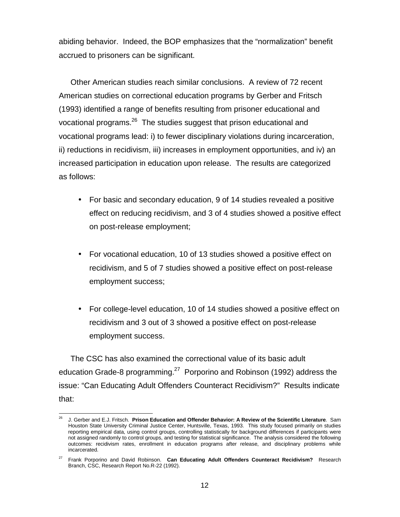abiding behavior. Indeed, the BOP emphasizes that the "normalization" benefit accrued to prisoners can be significant.

Other American studies reach similar conclusions. A review of 72 recent American studies on correctional education programs by Gerber and Fritsch (1993) identified a range of benefits resulting from prisoner educational and vocational programs.26 The studies suggest that prison educational and vocational programs lead: i) to fewer disciplinary violations during incarceration, ii) reductions in recidivism, iii) increases in employment opportunities, and iv) an increased participation in education upon release. The results are categorized as follows:

- For basic and secondary education, 9 of 14 studies revealed a positive effect on reducing recidivism, and 3 of 4 studies showed a positive effect on post-release employment;
- For vocational education, 10 of 13 studies showed a positive effect on recidivism, and 5 of 7 studies showed a positive effect on post-release employment success;
- For college-level education, 10 of 14 studies showed a positive effect on recidivism and 3 out of 3 showed a positive effect on post-release employment success.

The CSC has also examined the correctional value of its basic adult education Grade-8 programming.<sup>27</sup> Porporino and Robinson (1992) address the issue: "Can Educating Adult Offenders Counteract Recidivism?" Results indicate that:

 $\overline{a}$ 26 J. Gerber and E.J. Fritsch. **Prison Education and Offender Behavior: A Review of the Scientific Literature**. Sam Houston State University Criminal Justice Center, Huntsville, Texas, 1993. This study focused primarily on studies reporting empirical data, using control groups, controlling statistically for background differences if participants were not assigned randomly to control groups, and testing for statistical significance. The analysis considered the following outcomes: recidivism rates, enrollment in education programs after release, and disciplinary problems while incarcerated.

<sup>27</sup> Frank Porporino and David Robinson. **Can Educating Adult Offenders Counteract Recidivism?** Research Branch, CSC, Research Report No.R-22 (1992).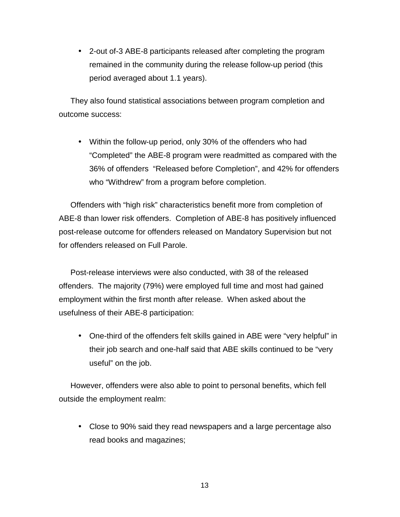• 2-out of-3 ABE-8 participants released after completing the program remained in the community during the release follow-up period (this period averaged about 1.1 years).

They also found statistical associations between program completion and outcome success:

• Within the follow-up period, only 30% of the offenders who had "Completed" the ABE-8 program were readmitted as compared with the 36% of offenders "Released before Completion", and 42% for offenders who "Withdrew" from a program before completion.

Offenders with "high risk" characteristics benefit more from completion of ABE-8 than lower risk offenders. Completion of ABE-8 has positively influenced post-release outcome for offenders released on Mandatory Supervision but not for offenders released on Full Parole.

Post-release interviews were also conducted, with 38 of the released offenders. The majority (79%) were employed full time and most had gained employment within the first month after release. When asked about the usefulness of their ABE-8 participation:

• One-third of the offenders felt skills gained in ABE were "very helpful" in their job search and one-half said that ABE skills continued to be "very useful" on the job.

However, offenders were also able to point to personal benefits, which fell outside the employment realm:

• Close to 90% said they read newspapers and a large percentage also read books and magazines;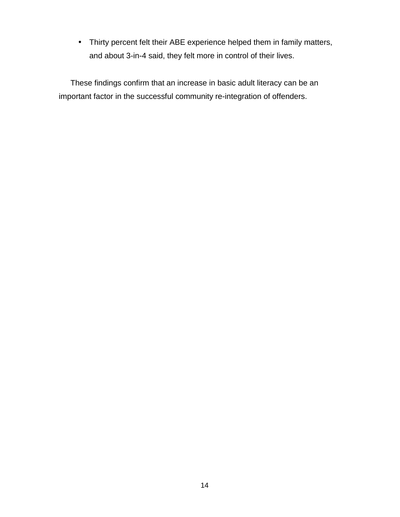• Thirty percent felt their ABE experience helped them in family matters, and about 3-in-4 said, they felt more in control of their lives.

These findings confirm that an increase in basic adult literacy can be an important factor in the successful community re-integration of offenders.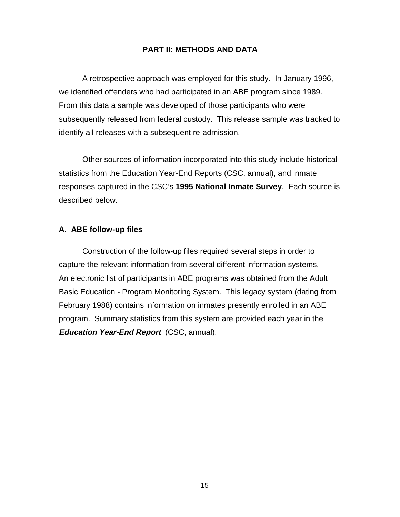### **PART II: METHODS AND DATA**

A retrospective approach was employed for this study. In January 1996, we identified offenders who had participated in an ABE program since 1989. From this data a sample was developed of those participants who were subsequently released from federal custody. This release sample was tracked to identify all releases with a subsequent re-admission.

Other sources of information incorporated into this study include historical statistics from the Education Year-End Reports (CSC, annual), and inmate responses captured in the CSC's **1995 National Inmate Survey**. Each source is described below.

#### **A. ABE follow-up files**

Construction of the follow-up files required several steps in order to capture the relevant information from several different information systems. An electronic list of participants in ABE programs was obtained from the Adult Basic Education - Program Monitoring System. This legacy system (dating from February 1988) contains information on inmates presently enrolled in an ABE program. Summary statistics from this system are provided each year in the **Education Year-End Report** (CSC, annual).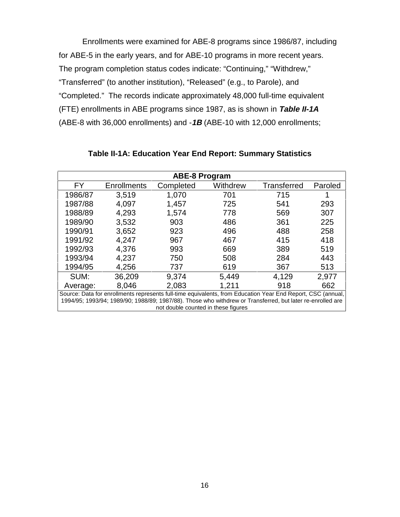Enrollments were examined for ABE-8 programs since 1986/87, including for ABE-5 in the early years, and for ABE-10 programs in more recent years. The program completion status codes indicate: "Continuing," "Withdrew," "Transferred" (to another institution), "Released" (e.g., to Parole), and "Completed." The records indicate approximately 48,000 full-time equivalent (FTE) enrollments in ABE programs since 1987, as is shown in **Table II-1A** (ABE-8 with 36,000 enrollments) and -**1B** (ABE-10 with 12,000 enrollments;

| <b>ABE-8 Program</b>                                                                                       |                                                                                                             |           |          |             |         |
|------------------------------------------------------------------------------------------------------------|-------------------------------------------------------------------------------------------------------------|-----------|----------|-------------|---------|
| <b>FY</b>                                                                                                  | <b>Enrollments</b>                                                                                          | Completed | Withdrew | Transferred | Paroled |
| 1986/87                                                                                                    | 3,519                                                                                                       | 1,070     | 701      | 715         |         |
| 1987/88                                                                                                    | 4,097                                                                                                       | 1,457     | 725      | 541         | 293     |
| 1988/89                                                                                                    | 4,293                                                                                                       | 1,574     | 778      | 569         | 307     |
| 1989/90                                                                                                    | 3,532                                                                                                       | 903       | 486      | 361         | 225     |
| 1990/91                                                                                                    | 3,652                                                                                                       | 923       | 496      | 488         | 258     |
| 1991/92                                                                                                    | 4,247                                                                                                       | 967       | 467      | 415         | 418     |
| 1992/93                                                                                                    | 4,376                                                                                                       | 993       | 669      | 389         | 519     |
| 1993/94                                                                                                    | 4,237                                                                                                       | 750       | 508      | 284         | 443     |
| 1994/95                                                                                                    | 4,256                                                                                                       | 737       | 619      | 367         | 513     |
| SUM:                                                                                                       | 36,209                                                                                                      | 9,374     | 5,449    | 4,129       | 2,977   |
| Average:                                                                                                   | 8,046                                                                                                       | 2,083     | 1,211    | 918         | 662     |
|                                                                                                            | Source: Data for enrollments represents full-time equivalents, from Education Year End Report, CSC (annual, |           |          |             |         |
| 1994/95; 1993/94; 1989/90; 1988/89; 1987/88). Those who withdrew or Transferred, but later re-enrolled are |                                                                                                             |           |          |             |         |

not double counted in these figures

**Table II-1A: Education Year End Report: Summary Statistics**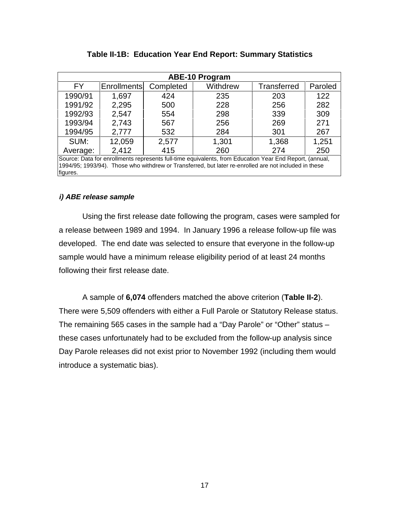|                                                                                                         | <b>ABE-10 Program</b>                                                                                 |           |          |             |         |  |
|---------------------------------------------------------------------------------------------------------|-------------------------------------------------------------------------------------------------------|-----------|----------|-------------|---------|--|
| FY.                                                                                                     | <b>Enrollments</b>                                                                                    | Completed | Withdrew | Transferred | Paroled |  |
| 1990/91                                                                                                 | 1,697                                                                                                 | 424       | 235      | 203         | 122     |  |
| 1991/92                                                                                                 | 2,295                                                                                                 | 500       | 228      | 256         | 282     |  |
| 1992/93                                                                                                 | 2,547                                                                                                 | 554       | 298      | 339         | 309     |  |
| 1993/94                                                                                                 | 2,743                                                                                                 | 567       | 256      | 269         | 271     |  |
| 1994/95                                                                                                 | 2,777                                                                                                 | 532       | 284      | 301         | 267     |  |
| SUM:                                                                                                    | 12,059                                                                                                | 2,577     | 1,301    | 1,368       | 1,251   |  |
| Average:                                                                                                | 2,412                                                                                                 | 415       | 260      | 274         | 250     |  |
| Source: Data for enrollments represents full-time equivalents, from Education Year End Report, (annual, |                                                                                                       |           |          |             |         |  |
|                                                                                                         | 1994/95; 1993/94). Those who withdrew or Transferred, but later re-enrolled are not included in these |           |          |             |         |  |
| figures.                                                                                                |                                                                                                       |           |          |             |         |  |

#### **Table II-1B: Education Year End Report: Summary Statistics**

#### **i) ABE release sample**

Using the first release date following the program, cases were sampled for a release between 1989 and 1994. In January 1996 a release follow-up file was developed. The end date was selected to ensure that everyone in the follow-up sample would have a minimum release eligibility period of at least 24 months following their first release date.

A sample of **6,074** offenders matched the above criterion (**Table II-2**). There were 5,509 offenders with either a Full Parole or Statutory Release status. The remaining 565 cases in the sample had a "Day Parole" or "Other" status – these cases unfortunately had to be excluded from the follow-up analysis since Day Parole releases did not exist prior to November 1992 (including them would introduce a systematic bias).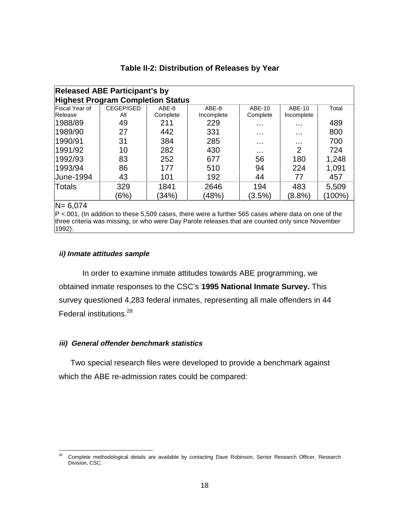| <b>Released ABE Participant's by</b> |                                          |          |            |           |            |        |
|--------------------------------------|------------------------------------------|----------|------------|-----------|------------|--------|
|                                      | <b>Highest Program Completion Status</b> |          |            |           |            |        |
| Fiscal Year of                       | CEGEP/GED                                | ABE-8    | ABE-8      | ABE-10    | ABE-10     | Total  |
| Release                              | All                                      | Complete | Incomplete | Complete  | Incomplete |        |
| 1988/89                              | 49                                       | 211      | 229        | $\cdots$  | .          | 489    |
| 1989/90                              | 27                                       | 442      | 331        | $\cdots$  | .          | 800    |
| 1990/91                              | 31                                       | 384      | 285        | .         | .          | 700    |
| 1991/92                              | 10                                       | 282      | 430        | $\cdots$  | 2          | 724    |
| 1992/93                              | 83                                       | 252      | 677        | 56        | 180        | 1,248  |
| 1993/94                              | 86                                       | 177      | 510        | 94        | 224        | 1,091  |
| <b>June-1994</b>                     | 43                                       | 101      | 192        | 44        | 77         | 457    |
| <b>Totals</b>                        | 329                                      | 1841     | 2646       | 194       | 483        | 5,509  |
|                                      | (6%)                                     | (34%)    | (48%)      | $(3.5\%)$ | $(8.8\%)$  | (100%) |
| $N = C 074$                          |                                          |          |            |           |            |        |

#### **Table II-2: Distribution of Releases by Year**

N= 6,074

 $P$  <.001, (In addition to these 5,509 cases, there were a further 565 cases where data on one of the three criteria was missing, or who were Day Parole releases that are counted only since November 1992).

#### **ii) Inmate attitudes sample**

In order to examine inmate attitudes towards ABE programming, we obtained inmate responses to the CSC's **1995 National Inmate Survey.** This survey questioned 4,283 federal inmates, representing all male offenders in 44 Federal institutions.<sup>28</sup>

### **iii) General offender benchmark statistics**

Two special research files were developed to provide a benchmark against which the ABE re-admission rates could be compared:

<sup>28</sup> 28 Complete methodological details are available by contacting Dave Robinson, Senior Research Officer, Research Division, CSC.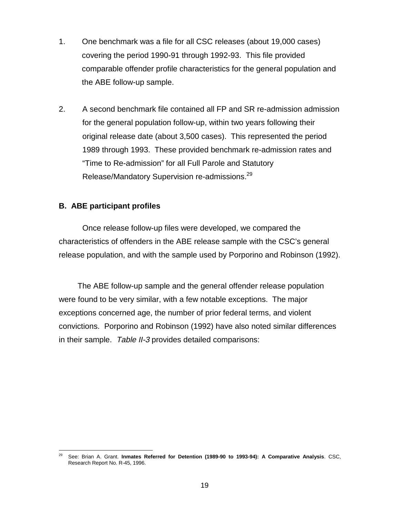- 1. One benchmark was a file for all CSC releases (about 19,000 cases) covering the period 1990-91 through 1992-93. This file provided comparable offender profile characteristics for the general population and the ABE follow-up sample.
- 2. A second benchmark file contained all FP and SR re-admission admission for the general population follow-up, within two years following their original release date (about 3,500 cases). This represented the period 1989 through 1993. These provided benchmark re-admission rates and "Time to Re-admission" for all Full Parole and Statutory Release/Mandatory Supervision re-admissions.29

### **B. ABE participant profiles**

Once release follow-up files were developed, we compared the characteristics of offenders in the ABE release sample with the CSC's general release population, and with the sample used by Porporino and Robinson (1992).

The ABE follow-up sample and the general offender release population were found to be very similar, with a few notable exceptions. The major exceptions concerned age, the number of prior federal terms, and violent convictions. Porporino and Robinson (1992) have also noted similar differences in their sample. Table II-3 provides detailed comparisons:

l 29 See: Brian A. Grant. **Inmates Referred for Detention (1989-90 to 1993-94): A Comparative Analysis**. CSC, Research Report No. R-45, 1996.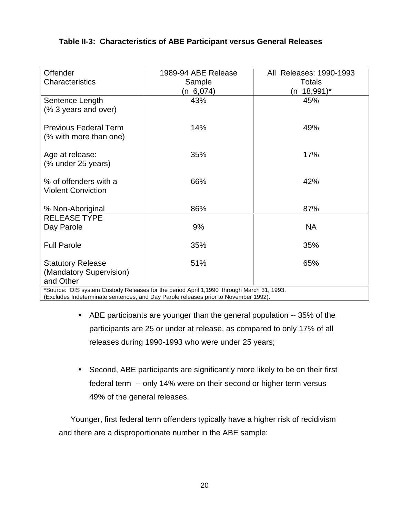## **Table II-3: Characteristics of ABE Participant versus General Releases**

| Offender                                                                                 | 1989-94 ABE Release | All Releases: 1990-1993 |  |  |
|------------------------------------------------------------------------------------------|---------------------|-------------------------|--|--|
| <b>Characteristics</b>                                                                   | Sample              | <b>Totals</b>           |  |  |
|                                                                                          | (n 6,074)           | (n 18,991)*             |  |  |
| Sentence Length                                                                          | 43%                 | 45%                     |  |  |
| (% 3 years and over)                                                                     |                     |                         |  |  |
|                                                                                          |                     |                         |  |  |
| <b>Previous Federal Term</b>                                                             | 14%                 | 49%                     |  |  |
| (% with more than one)                                                                   |                     |                         |  |  |
|                                                                                          |                     |                         |  |  |
| Age at release:                                                                          | 35%                 | 17%                     |  |  |
| (% under 25 years)                                                                       |                     |                         |  |  |
| % of offenders with a                                                                    | 66%                 | 42%                     |  |  |
| <b>Violent Conviction</b>                                                                |                     |                         |  |  |
|                                                                                          |                     |                         |  |  |
| % Non-Aboriginal                                                                         | 86%                 | 87%                     |  |  |
| <b>RELEASE TYPE</b>                                                                      |                     |                         |  |  |
| Day Parole                                                                               | 9%                  | <b>NA</b>               |  |  |
|                                                                                          |                     |                         |  |  |
| <b>Full Parole</b>                                                                       | 35%                 | 35%                     |  |  |
|                                                                                          |                     |                         |  |  |
| <b>Statutory Release</b>                                                                 | 51%                 | 65%                     |  |  |
| (Mandatory Supervision)                                                                  |                     |                         |  |  |
| and Other                                                                                |                     |                         |  |  |
| *Source: OIS system Custody Releases for the period April 1,1990 through March 31, 1993. |                     |                         |  |  |

(Excludes Indeterminate sentences, and Day Parole releases prior to November 1992).

- ABE participants are younger than the general population -- 35% of the participants are 25 or under at release, as compared to only 17% of all releases during 1990-1993 who were under 25 years;
- Second, ABE participants are significantly more likely to be on their first federal term -- only 14% were on their second or higher term versus 49% of the general releases.

Younger, first federal term offenders typically have a higher risk of recidivism and there are a disproportionate number in the ABE sample: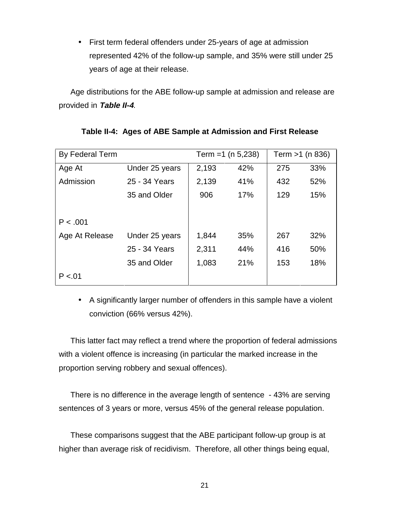• First term federal offenders under 25-years of age at admission represented 42% of the follow-up sample, and 35% were still under 25 years of age at their release.

Age distributions for the ABE follow-up sample at admission and release are provided in **Table II-4**.

| By Federal Term |                | Term = $1$ (n 5,238) |     | Term $>1$ (n 836) |     |
|-----------------|----------------|----------------------|-----|-------------------|-----|
| Age At          | Under 25 years | 2,193                | 42% | 275               | 33% |
| Admission       | 25 - 34 Years  | 2,139                | 41% | 432               | 52% |
|                 | 35 and Older   | 906                  | 17% | 129               | 15% |
|                 |                |                      |     |                   |     |
| P < .001        |                |                      |     |                   |     |
| Age At Release  | Under 25 years | 1,844                | 35% | 267               | 32% |
|                 | 25 - 34 Years  | 2,311                | 44% | 416               | 50% |
|                 | 35 and Older   | 1,083                | 21% | 153               | 18% |
| P < 01          |                |                      |     |                   |     |

|  | Table II-4: Ages of ABE Sample at Admission and First Release |  |
|--|---------------------------------------------------------------|--|
|  |                                                               |  |

• A significantly larger number of offenders in this sample have a violent conviction (66% versus 42%).

This latter fact may reflect a trend where the proportion of federal admissions with a violent offence is increasing (in particular the marked increase in the proportion serving robbery and sexual offences).

There is no difference in the average length of sentence - 43% are serving sentences of 3 years or more, versus 45% of the general release population.

These comparisons suggest that the ABE participant follow-up group is at higher than average risk of recidivism. Therefore, all other things being equal,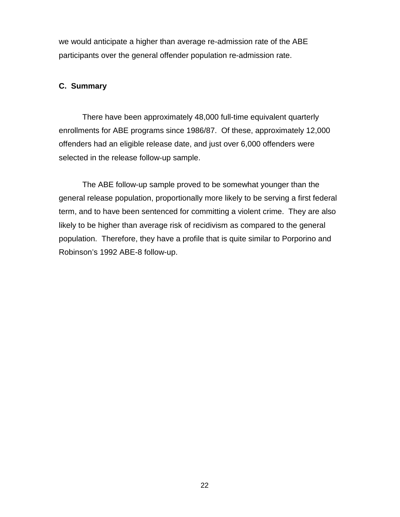we would anticipate a higher than average re-admission rate of the ABE participants over the general offender population re-admission rate.

## **C. Summary**

There have been approximately 48,000 full-time equivalent quarterly enrollments for ABE programs since 1986/87. Of these, approximately 12,000 offenders had an eligible release date, and just over 6,000 offenders were selected in the release follow-up sample.

The ABE follow-up sample proved to be somewhat younger than the general release population, proportionally more likely to be serving a first federal term, and to have been sentenced for committing a violent crime. They are also likely to be higher than average risk of recidivism as compared to the general population. Therefore, they have a profile that is quite similar to Porporino and Robinson's 1992 ABE-8 follow-up.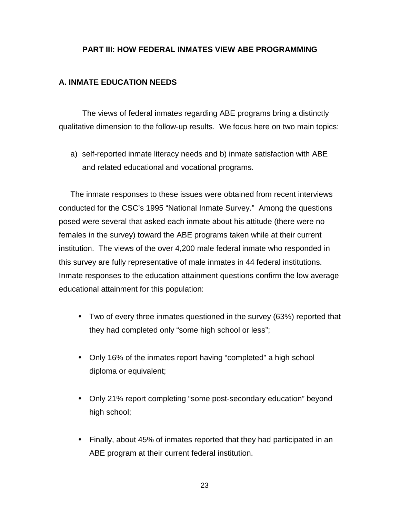## **PART III: HOW FEDERAL INMATES VIEW ABE PROGRAMMING**

## **A. INMATE EDUCATION NEEDS**

The views of federal inmates regarding ABE programs bring a distinctly qualitative dimension to the follow-up results. We focus here on two main topics:

a) self-reported inmate literacy needs and b) inmate satisfaction with ABE and related educational and vocational programs.

The inmate responses to these issues were obtained from recent interviews conducted for the CSC's 1995 "National Inmate Survey." Among the questions posed were several that asked each inmate about his attitude (there were no females in the survey) toward the ABE programs taken while at their current institution. The views of the over 4,200 male federal inmate who responded in this survey are fully representative of male inmates in 44 federal institutions. Inmate responses to the education attainment questions confirm the low average educational attainment for this population:

- Two of every three inmates questioned in the survey (63%) reported that they had completed only "some high school or less";
- Only 16% of the inmates report having "completed" a high school diploma or equivalent;
- Only 21% report completing "some post-secondary education" beyond high school;
- Finally, about 45% of inmates reported that they had participated in an ABE program at their current federal institution.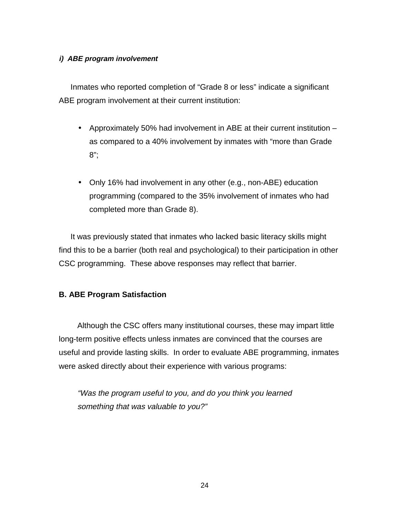### **i) ABE program involvement**

Inmates who reported completion of "Grade 8 or less" indicate a significant ABE program involvement at their current institution:

- Approximately 50% had involvement in ABE at their current institution as compared to a 40% involvement by inmates with "more than Grade 8";
- Only 16% had involvement in any other (e.g., non-ABE) education programming (compared to the 35% involvement of inmates who had completed more than Grade 8).

It was previously stated that inmates who lacked basic literacy skills might find this to be a barrier (both real and psychological) to their participation in other CSC programming. These above responses may reflect that barrier.

## **B. ABE Program Satisfaction**

Although the CSC offers many institutional courses, these may impart little long-term positive effects unless inmates are convinced that the courses are useful and provide lasting skills. In order to evaluate ABE programming, inmates were asked directly about their experience with various programs:

"Was the program useful to you, and do you think you learned something that was valuable to you?"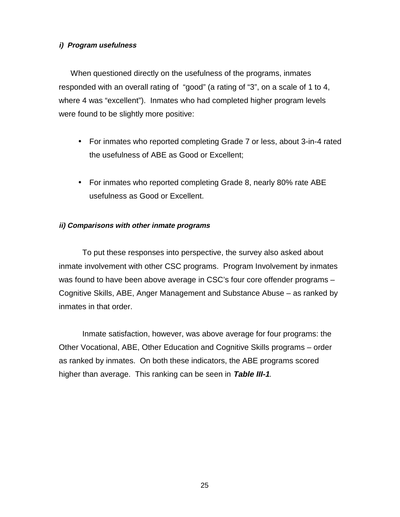### **i) Program usefulness**

When questioned directly on the usefulness of the programs, inmates responded with an overall rating of "good" (a rating of "3", on a scale of 1 to 4, where 4 was "excellent"). Inmates who had completed higher program levels were found to be slightly more positive:

- For inmates who reported completing Grade 7 or less, about 3-in-4 rated the usefulness of ABE as Good or Excellent;
- For inmates who reported completing Grade 8, nearly 80% rate ABE usefulness as Good or Excellent.

### **ii) Comparisons with other inmate programs**

To put these responses into perspective, the survey also asked about inmate involvement with other CSC programs. Program Involvement by inmates was found to have been above average in CSC's four core offender programs -Cognitive Skills, ABE, Anger Management and Substance Abuse – as ranked by inmates in that order.

Inmate satisfaction, however, was above average for four programs: the Other Vocational, ABE, Other Education and Cognitive Skills programs – order as ranked by inmates. On both these indicators, the ABE programs scored higher than average. This ranking can be seen in **Table III-1**.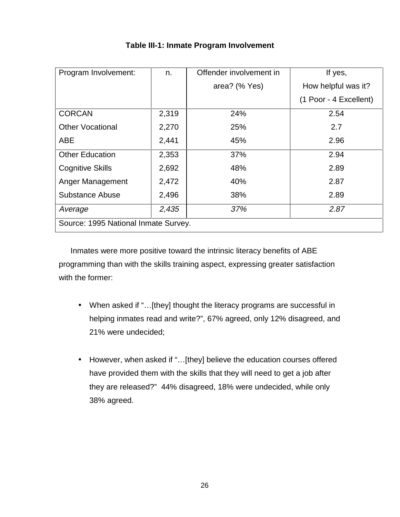| Program Involvement:                 | n.    | Offender involvement in | If yes,                |  |  |
|--------------------------------------|-------|-------------------------|------------------------|--|--|
|                                      |       | area? (% Yes)           | How helpful was it?    |  |  |
|                                      |       |                         | (1 Poor - 4 Excellent) |  |  |
| <b>CORCAN</b>                        | 2,319 | 24%                     | 2.54                   |  |  |
| <b>Other Vocational</b>              | 2,270 | 25%                     | 2.7                    |  |  |
| <b>ABE</b>                           | 2,441 | 45%                     | 2.96                   |  |  |
| <b>Other Education</b>               | 2,353 | 37%                     | 2.94                   |  |  |
| <b>Cognitive Skills</b>              | 2,692 | 48%                     | 2.89                   |  |  |
| Anger Management                     | 2,472 | 40%                     | 2.87                   |  |  |
| <b>Substance Abuse</b>               | 2,496 | 38%                     | 2.89                   |  |  |
| Average                              | 2,435 | 37%                     | 2.87                   |  |  |
| Source: 1995 National Inmate Survey. |       |                         |                        |  |  |

# **Table III-1: Inmate Program Involvement**

Inmates were more positive toward the intrinsic literacy benefits of ABE programming than with the skills training aspect, expressing greater satisfaction with the former:

- When asked if "…[they] thought the literacy programs are successful in helping inmates read and write?", 67% agreed, only 12% disagreed, and 21% were undecided;
- However, when asked if "…[they] believe the education courses offered have provided them with the skills that they will need to get a job after they are released?" 44% disagreed, 18% were undecided, while only 38% agreed.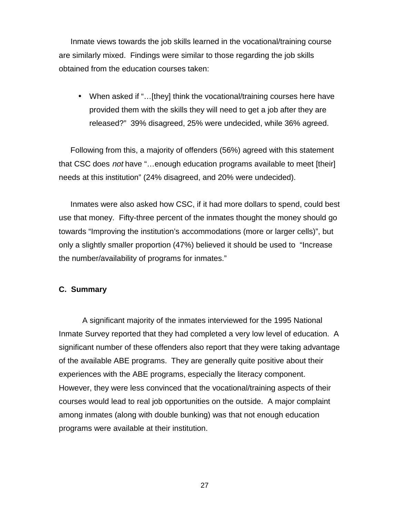Inmate views towards the job skills learned in the vocational/training course are similarly mixed. Findings were similar to those regarding the job skills obtained from the education courses taken:

• When asked if "...[they] think the vocational/training courses here have provided them with the skills they will need to get a job after they are released?" 39% disagreed, 25% were undecided, while 36% agreed.

Following from this, a majority of offenders (56%) agreed with this statement that CSC does not have "...enough education programs available to meet [their] needs at this institution" (24% disagreed, and 20% were undecided).

Inmates were also asked how CSC, if it had more dollars to spend, could best use that money. Fifty-three percent of the inmates thought the money should go towards "Improving the institution's accommodations (more or larger cells)", but only a slightly smaller proportion (47%) believed it should be used to "Increase the number/availability of programs for inmates."

#### **C. Summary**

A significant majority of the inmates interviewed for the 1995 National Inmate Survey reported that they had completed a very low level of education. A significant number of these offenders also report that they were taking advantage of the available ABE programs. They are generally quite positive about their experiences with the ABE programs, especially the literacy component. However, they were less convinced that the vocational/training aspects of their courses would lead to real job opportunities on the outside. A major complaint among inmates (along with double bunking) was that not enough education programs were available at their institution.

27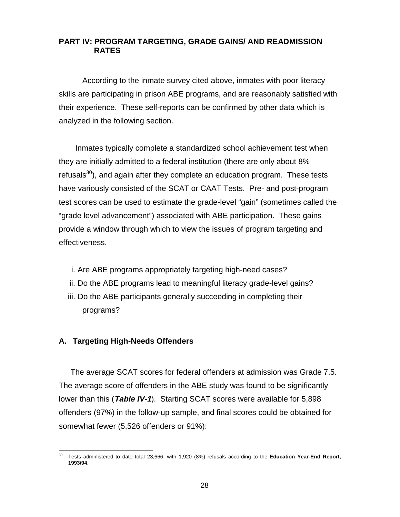## **PART IV: PROGRAM TARGETING, GRADE GAINS/ AND READMISSION RATES**

According to the inmate survey cited above, inmates with poor literacy skills are participating in prison ABE programs, and are reasonably satisfied with their experience. These self-reports can be confirmed by other data which is analyzed in the following section.

Inmates typically complete a standardized school achievement test when they are initially admitted to a federal institution (there are only about 8% refusals<sup>30</sup>), and again after they complete an education program. These tests have variously consisted of the SCAT or CAAT Tests. Pre- and post-program test scores can be used to estimate the grade-level "gain" (sometimes called the "grade level advancement") associated with ABE participation. These gains provide a window through which to view the issues of program targeting and effectiveness.

- i. Are ABE programs appropriately targeting high-need cases?
- ii. Do the ABE programs lead to meaningful literacy grade-level gains?
- iii. Do the ABE participants generally succeeding in completing their programs?

## **A. Targeting High-Needs Offenders**

The average SCAT scores for federal offenders at admission was Grade 7.5. The average score of offenders in the ABE study was found to be significantly lower than this (**Table IV-1**). Starting SCAT scores were available for 5,898 offenders (97%) in the follow-up sample, and final scores could be obtained for somewhat fewer (5,526 offenders or 91%):

l 30 Tests administered to date total 23,666, with 1,920 (8%) refusals according to the **Education Year-End Report, 1993/94**.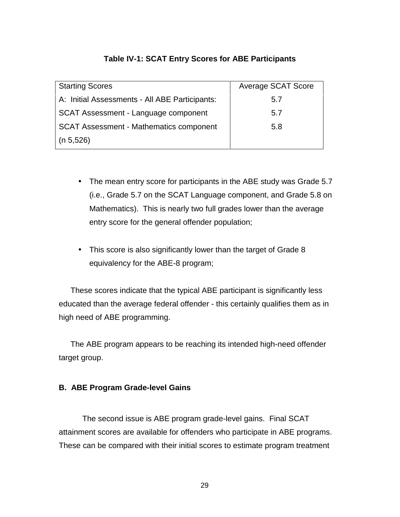## **Table IV-1: SCAT Entry Scores for ABE Participants**

| <b>Starting Scores</b>                         | <b>Average SCAT Score</b> |
|------------------------------------------------|---------------------------|
| A: Initial Assessments - All ABE Participants: | 5.7                       |
| SCAT Assessment - Language component           | 5.7                       |
| <b>SCAT Assessment - Mathematics component</b> | 5.8                       |
| (n 5, 526)                                     |                           |

- The mean entry score for participants in the ABE study was Grade 5.7 (i.e., Grade 5.7 on the SCAT Language component, and Grade 5.8 on Mathematics). This is nearly two full grades lower than the average entry score for the general offender population;
- This score is also significantly lower than the target of Grade 8 equivalency for the ABE-8 program;

These scores indicate that the typical ABE participant is significantly less educated than the average federal offender - this certainly qualifies them as in high need of ABE programming.

The ABE program appears to be reaching its intended high-need offender target group.

## **B. ABE Program Grade-level Gains**

The second issue is ABE program grade-level gains. Final SCAT attainment scores are available for offenders who participate in ABE programs. These can be compared with their initial scores to estimate program treatment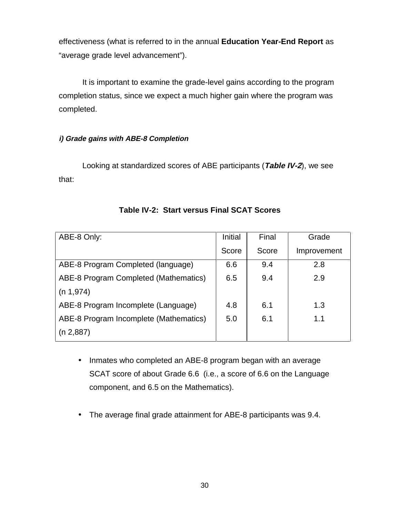effectiveness (what is referred to in the annual **Education Year-End Report** as "average grade level advancement").

It is important to examine the grade-level gains according to the program completion status, since we expect a much higher gain where the program was completed.

## **i) Grade gains with ABE-8 Completion**

Looking at standardized scores of ABE participants (**Table IV-2**), we see that:

| ABE-8 Only:                            | Initial | Final | Grade       |
|----------------------------------------|---------|-------|-------------|
|                                        | Score   | Score | Improvement |
| ABE-8 Program Completed (language)     | 6.6     | 9.4   | 2.8         |
| ABE-8 Program Completed (Mathematics)  | 6.5     | 9.4   | 2.9         |
| (n 1, 974)                             |         |       |             |
| ABE-8 Program Incomplete (Language)    | 4.8     | 6.1   | 1.3         |
| ABE-8 Program Incomplete (Mathematics) | 5.0     | 6.1   | 1.1         |
| (n 2,887)                              |         |       |             |

# **Table IV-2: Start versus Final SCAT Scores**

- Inmates who completed an ABE-8 program began with an average SCAT score of about Grade 6.6 (i.e., a score of 6.6 on the Language component, and 6.5 on the Mathematics).
- The average final grade attainment for ABE-8 participants was 9.4.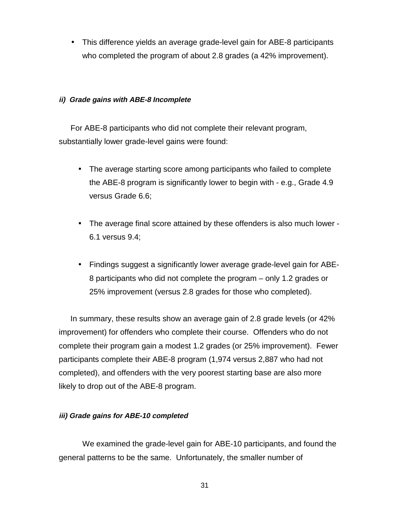• This difference yields an average grade-level gain for ABE-8 participants who completed the program of about 2.8 grades (a 42% improvement).

#### **ii) Grade gains with ABE-8 Incomplete**

For ABE-8 participants who did not complete their relevant program, substantially lower grade-level gains were found:

- The average starting score among participants who failed to complete the ABE-8 program is significantly lower to begin with - e.g., Grade 4.9 versus Grade 6.6;
- The average final score attained by these offenders is also much lower 6.1 versus 9.4;
- Findings suggest a significantly lower average grade-level gain for ABE-8 participants who did not complete the program – only 1.2 grades or 25% improvement (versus 2.8 grades for those who completed).

In summary, these results show an average gain of 2.8 grade levels (or 42% improvement) for offenders who complete their course. Offenders who do not complete their program gain a modest 1.2 grades (or 25% improvement). Fewer participants complete their ABE-8 program (1,974 versus 2,887 who had not completed), and offenders with the very poorest starting base are also more likely to drop out of the ABE-8 program.

#### **iii) Grade gains for ABE-10 completed**

We examined the grade-level gain for ABE-10 participants, and found the general patterns to be the same. Unfortunately, the smaller number of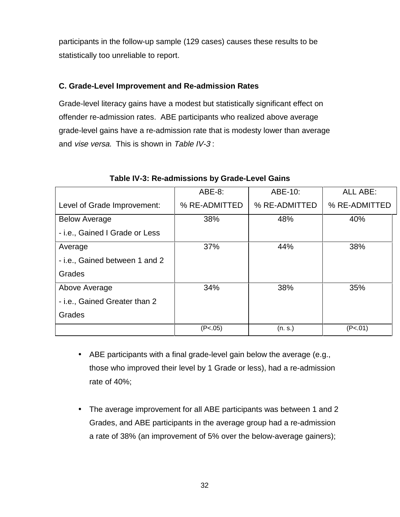participants in the follow-up sample (129 cases) causes these results to be statistically too unreliable to report.

## **C. Grade-Level Improvement and Re-admission Rates**

Grade-level literacy gains have a modest but statistically significant effect on offender re-admission rates. ABE participants who realized above average grade-level gains have a re-admission rate that is modesty lower than average and vise versa. This is shown in Table IV-3 :

|                                | ABE-8:        | ABE-10:       | <b>ALL ABE:</b> |
|--------------------------------|---------------|---------------|-----------------|
| Level of Grade Improvement:    | % RE-ADMITTED | % RE-ADMITTED | % RE-ADMITTED   |
| <b>Below Average</b>           | 38%           | 48%           | 40%             |
| - i.e., Gained I Grade or Less |               |               |                 |
| Average                        | 37%           | 44%           | 38%             |
| - i.e., Gained between 1 and 2 |               |               |                 |
| Grades                         |               |               |                 |
| Above Average                  | 34%           | 38%           | 35%             |
| - i.e., Gained Greater than 2  |               |               |                 |
| Grades                         |               |               |                 |
|                                | (P<.05)       | (n.s.)        | (P<.01)         |

### **Table IV-3: Re-admissions by Grade-Level Gains**

- ABE participants with a final grade-level gain below the average (e.g., those who improved their level by 1 Grade or less), had a re-admission rate of 40%;
- The average improvement for all ABE participants was between 1 and 2 Grades, and ABE participants in the average group had a re-admission a rate of 38% (an improvement of 5% over the below-average gainers);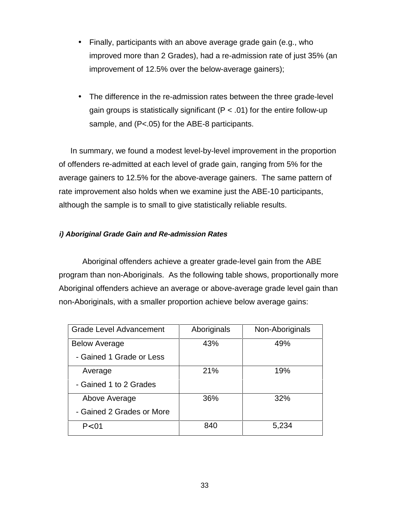- Finally, participants with an above average grade gain (e.g., who improved more than 2 Grades), had a re-admission rate of just 35% (an improvement of 12.5% over the below-average gainers);
- The difference in the re-admission rates between the three grade-level gain groups is statistically significant ( $P < .01$ ) for the entire follow-up sample, and (P<.05) for the ABE-8 participants.

In summary, we found a modest level-by-level improvement in the proportion of offenders re-admitted at each level of grade gain, ranging from 5% for the average gainers to 12.5% for the above-average gainers. The same pattern of rate improvement also holds when we examine just the ABE-10 participants, although the sample is to small to give statistically reliable results.

## **i) Aboriginal Grade Gain and Re-admission Rates**

Aboriginal offenders achieve a greater grade-level gain from the ABE program than non-Aboriginals. As the following table shows, proportionally more Aboriginal offenders achieve an average or above-average grade level gain than non-Aboriginals, with a smaller proportion achieve below average gains:

| <b>Grade Level Advancement</b> | Aboriginals | Non-Aboriginals |
|--------------------------------|-------------|-----------------|
| <b>Below Average</b>           | 43%         | 49%             |
| - Gained 1 Grade or Less       |             |                 |
| Average                        | 21%         | 19%             |
| - Gained 1 to 2 Grades         |             |                 |
| Above Average                  | 36%         | 32%             |
| - Gained 2 Grades or More      |             |                 |
| P < 01                         | 840         | 5,234           |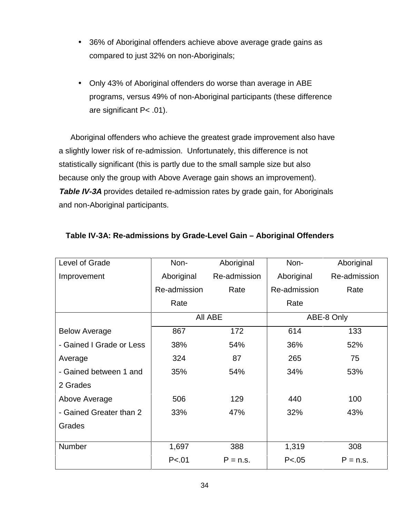- 36% of Aboriginal offenders achieve above average grade gains as compared to just 32% on non-Aboriginals;
- Only 43% of Aboriginal offenders do worse than average in ABE programs, versus 49% of non-Aboriginal participants (these difference are significant P< .01).

Aboriginal offenders who achieve the greatest grade improvement also have a slightly lower risk of re-admission. Unfortunately, this difference is not statistically significant (this is partly due to the small sample size but also because only the group with Above Average gain shows an improvement). **Table IV-3A** provides detailed re-admission rates by grade gain, for Aboriginals and non-Aboriginal participants.

| Level of Grade           | Non-         | Aboriginal   | Non-         | Aboriginal   |
|--------------------------|--------------|--------------|--------------|--------------|
| Improvement              | Aboriginal   | Re-admission | Aboriginal   | Re-admission |
|                          | Re-admission | Rate         | Re-admission | Rate         |
|                          | Rate         |              | Rate         |              |
|                          |              | All ABE      |              | ABE-8 Only   |
| <b>Below Average</b>     | 867          | 172          | 614          | 133          |
| - Gained I Grade or Less | 38%          | 54%          | 36%          | 52%          |
| Average                  | 324          | 87           | 265          | 75           |
| - Gained between 1 and   | 35%          | 54%          | 34%          | 53%          |
| 2 Grades                 |              |              |              |              |
| Above Average            | 506          | 129          | 440          | 100          |
| - Gained Greater than 2  | 33%          | 47%          | 32%          | 43%          |
| Grades                   |              |              |              |              |
|                          |              |              |              |              |
| Number                   | 1,697        | 388          | 1,319        | 308          |
|                          | P < .01      | $P = n.s.$   | P < .05      | $P = n.s.$   |

# **Table IV-3A: Re-admissions by Grade-Level Gain – Aboriginal Offenders**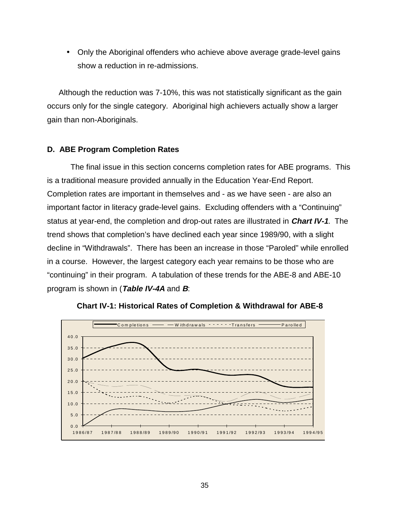• Only the Aboriginal offenders who achieve above average grade-level gains show a reduction in re-admissions.

Although the reduction was 7-10%, this was not statistically significant as the gain occurs only for the single category. Aboriginal high achievers actually show a larger gain than non-Aboriginals.

## **D. ABE Program Completion Rates**

The final issue in this section concerns completion rates for ABE programs. This is a traditional measure provided annually in the Education Year-End Report. Completion rates are important in themselves and - as we have seen - are also an important factor in literacy grade-level gains. Excluding offenders with a "Continuing" status at year-end, the completion and drop-out rates are illustrated in **Chart IV-1**. The trend shows that completion's have declined each year since 1989/90, with a slight decline in "Withdrawals". There has been an increase in those "Paroled" while enrolled in a course. However, the largest category each year remains to be those who are "continuing" in their program. A tabulation of these trends for the ABE-8 and ABE-10 program is shown in (**Table IV-4A** and **B**:



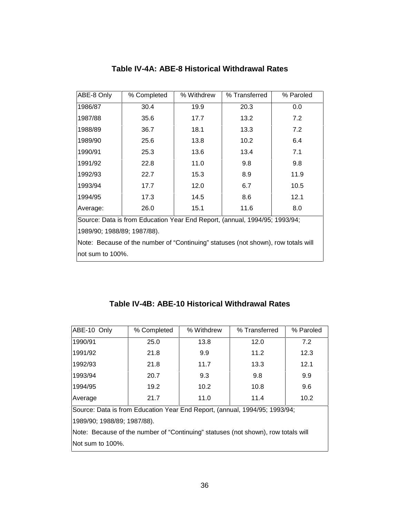| ABE-8 Only                                                                        | % Completed                                                                | % Withdrew | % Transferred | % Paroled |  |  |
|-----------------------------------------------------------------------------------|----------------------------------------------------------------------------|------------|---------------|-----------|--|--|
| 1986/87                                                                           | 30.4                                                                       | 19.9       | 20.3          | 0.0       |  |  |
| 1987/88                                                                           | 35.6                                                                       | 17.7       | 13.2          | 7.2       |  |  |
| 1988/89                                                                           | 36.7                                                                       | 18.1       | 13.3          | 7.2       |  |  |
| 1989/90                                                                           | 25.6                                                                       | 13.8       | 10.2          | 6.4       |  |  |
| 1990/91                                                                           | 25.3                                                                       | 13.6       | 13.4          | 7.1       |  |  |
| 1991/92                                                                           | 22.8                                                                       | 11.0       | 9.8           | 9.8       |  |  |
| 1992/93                                                                           | 22.7                                                                       | 15.3       | 8.9           | 11.9      |  |  |
| 1993/94                                                                           | 17.7                                                                       | 12.0       | 6.7           | 10.5      |  |  |
| 1994/95                                                                           | 17.3                                                                       | 14.5       | 8.6           | 12.1      |  |  |
| Average:                                                                          | 26.0                                                                       | 15.1       | 11.6          | 8.0       |  |  |
|                                                                                   | Source: Data is from Education Year End Report, (annual, 1994/95; 1993/94; |            |               |           |  |  |
| 1989/90; 1988/89; 1987/88).                                                       |                                                                            |            |               |           |  |  |
| Note: Because of the number of "Continuing" statuses (not shown), row totals will |                                                                            |            |               |           |  |  |
| not sum to 100%.                                                                  |                                                                            |            |               |           |  |  |

# **Table IV-4A: ABE-8 Historical Withdrawal Rates**

# **Table IV-4B: ABE-10 Historical Withdrawal Rates**

| ABE-10 Only                                                                       | % Completed | % Withdrew | % Transferred | % Paroled |  |  |
|-----------------------------------------------------------------------------------|-------------|------------|---------------|-----------|--|--|
| 1990/91                                                                           | 25.0        | 13.8       | 12.0          | 7.2       |  |  |
| 1991/92                                                                           | 21.8        | 9.9        | 11.2          | 12.3      |  |  |
| 1992/93                                                                           | 21.8        | 11.7       | 13.3          | 12.1      |  |  |
| 1993/94                                                                           | 20.7        | 9.3        | 9.8           | 9.9       |  |  |
| 1994/95                                                                           | 19.2        | 10.2       | 10.8          | 9.6       |  |  |
| Average                                                                           | 21.7        | 11.0       | 11.4          | 10.2      |  |  |
| Source: Data is from Education Year End Report, (annual, 1994/95; 1993/94;        |             |            |               |           |  |  |
| 1989/90; 1988/89; 1987/88).                                                       |             |            |               |           |  |  |
| Note: Because of the number of "Continuing" statuses (not shown), row totals will |             |            |               |           |  |  |
| INot sum to 100%.                                                                 |             |            |               |           |  |  |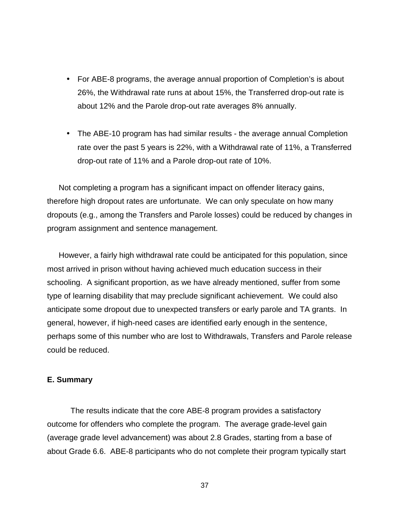- For ABE-8 programs, the average annual proportion of Completion's is about 26%, the Withdrawal rate runs at about 15%, the Transferred drop-out rate is about 12% and the Parole drop-out rate averages 8% annually.
- The ABE-10 program has had similar results the average annual Completion rate over the past 5 years is 22%, with a Withdrawal rate of 11%, a Transferred drop-out rate of 11% and a Parole drop-out rate of 10%.

Not completing a program has a significant impact on offender literacy gains, therefore high dropout rates are unfortunate. We can only speculate on how many dropouts (e.g., among the Transfers and Parole losses) could be reduced by changes in program assignment and sentence management.

However, a fairly high withdrawal rate could be anticipated for this population, since most arrived in prison without having achieved much education success in their schooling. A significant proportion, as we have already mentioned, suffer from some type of learning disability that may preclude significant achievement. We could also anticipate some dropout due to unexpected transfers or early parole and TA grants. In general, however, if high-need cases are identified early enough in the sentence, perhaps some of this number who are lost to Withdrawals, Transfers and Parole release could be reduced.

#### **E. Summary**

The results indicate that the core ABE-8 program provides a satisfactory outcome for offenders who complete the program. The average grade-level gain (average grade level advancement) was about 2.8 Grades, starting from a base of about Grade 6.6. ABE-8 participants who do not complete their program typically start

37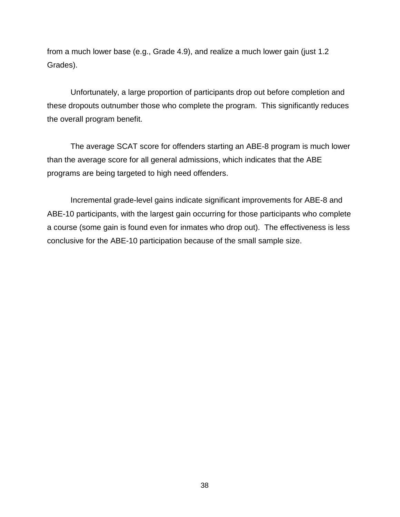from a much lower base (e.g., Grade 4.9), and realize a much lower gain (just 1.2 Grades).

Unfortunately, a large proportion of participants drop out before completion and these dropouts outnumber those who complete the program. This significantly reduces the overall program benefit.

The average SCAT score for offenders starting an ABE-8 program is much lower than the average score for all general admissions, which indicates that the ABE programs are being targeted to high need offenders.

Incremental grade-level gains indicate significant improvements for ABE-8 and ABE-10 participants, with the largest gain occurring for those participants who complete a course (some gain is found even for inmates who drop out). The effectiveness is less conclusive for the ABE-10 participation because of the small sample size.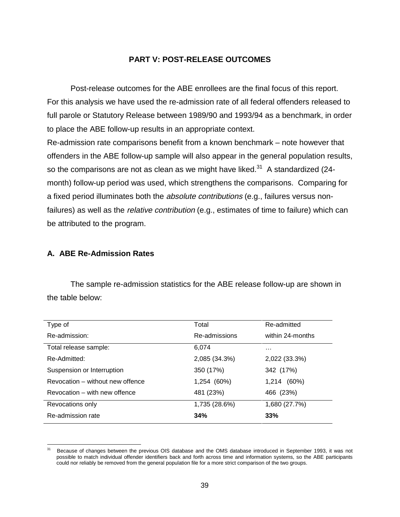#### **PART V: POST-RELEASE OUTCOMES**

Post-release outcomes for the ABE enrollees are the final focus of this report. For this analysis we have used the re-admission rate of all federal offenders released to full parole or Statutory Release between 1989/90 and 1993/94 as a benchmark, in order to place the ABE follow-up results in an appropriate context. Re-admission rate comparisons benefit from a known benchmark – note however that offenders in the ABE follow-up sample will also appear in the general population results, so the comparisons are not as clean as we might have liked. $31$  A standardized (24month) follow-up period was used, which strengthens the comparisons. Comparing for a fixed period illuminates both the absolute contributions (e.g., failures versus nonfailures) as well as the *relative contribution* (e.g., estimates of time to failure) which can be attributed to the program.

### **A. ABE Re-Admission Rates**

The sample re-admission statistics for the ABE release follow-up are shown in the table below:

| Type of                          | Total         | Re-admitted      |
|----------------------------------|---------------|------------------|
| Re-admission:                    | Re-admissions | within 24-months |
| Total release sample:            | 6.074         | .                |
| Re-Admitted:                     | 2,085 (34.3%) | 2,022 (33.3%)    |
| Suspension or Interruption       | 350 (17%)     | 342 (17%)        |
| Revocation - without new offence | 1,254 (60%)   | (60%)<br>1,214   |
| Revocation – with new offence    | 481 (23%)     | 466 (23%)        |
| Revocations only                 | 1,735 (28.6%) | 1,680 (27.7%)    |
| Re-admission rate                | 34%           | 33%              |

 $31$ 31 Because of changes between the previous OIS database and the OMS database introduced in September 1993, it was not possible to match individual offender identifiers back and forth across time and information systems, so the ABE participants could nor reliably be removed from the general population file for a more strict comparison of the two groups.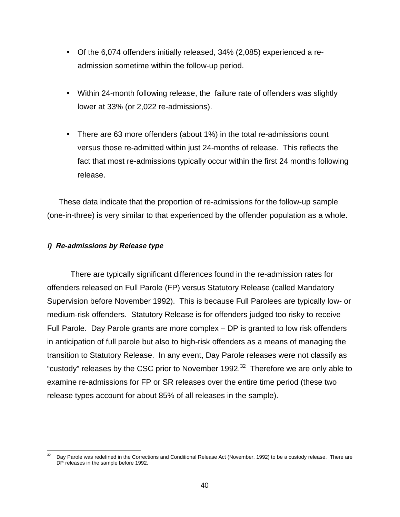- Of the 6,074 offenders initially released, 34% (2,085) experienced a readmission sometime within the follow-up period.
- Within 24-month following release, the failure rate of offenders was slightly lower at 33% (or 2,022 re-admissions).
- There are 63 more offenders (about 1%) in the total re-admissions count versus those re-admitted within just 24-months of release. This reflects the fact that most re-admissions typically occur within the first 24 months following release.

These data indicate that the proportion of re-admissions for the follow-up sample (one-in-three) is very similar to that experienced by the offender population as a whole.

#### **i) Re-admissions by Release type**

There are typically significant differences found in the re-admission rates for offenders released on Full Parole (FP) versus Statutory Release (called Mandatory Supervision before November 1992). This is because Full Parolees are typically low- or medium-risk offenders. Statutory Release is for offenders judged too risky to receive Full Parole. Day Parole grants are more complex – DP is granted to low risk offenders in anticipation of full parole but also to high-risk offenders as a means of managing the transition to Statutory Release. In any event, Day Parole releases were not classify as "custody" releases by the CSC prior to November 1992. $32$  Therefore we are only able to examine re-admissions for FP or SR releases over the entire time period (these two release types account for about 85% of all releases in the sample).

l Day Parole was redefined in the Corrections and Conditional Release Act (November, 1992) to be a custody release. There are DP releases in the sample before 1992.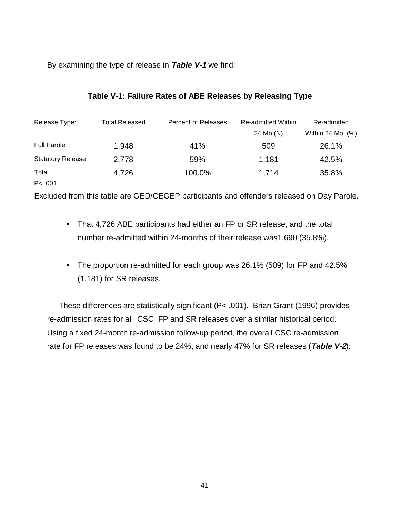By examining the type of release in **Table V-1** we find:

| Release Type:                                                                             | <b>Total Released</b> | Percent of Releases | <b>Re-admitted Within</b> | Re-admitted       |  |
|-------------------------------------------------------------------------------------------|-----------------------|---------------------|---------------------------|-------------------|--|
|                                                                                           |                       |                     | 24 Mo.(N)                 | Within 24 Mo. (%) |  |
| <b>Full Parole</b>                                                                        | 1,948                 | 41%                 | 509                       | 26.1%             |  |
| Statutory Release                                                                         | 2,778                 | 59%                 | 1,181                     | 42.5%             |  |
| Total                                                                                     | 4,726                 | 100.0%              | 1,714                     | 35.8%             |  |
| P<.001                                                                                    |                       |                     |                           |                   |  |
| Excluded from this table are GED/CEGEP participants and offenders released on Day Parole. |                       |                     |                           |                   |  |

## **Table V-1: Failure Rates of ABE Releases by Releasing Type**

- That 4,726 ABE participants had either an FP or SR release, and the total number re-admitted within 24-months of their release was1,690 (35.8%).
- The proportion re-admitted for each group was 26.1% (509) for FP and 42.5% (1,181) for SR releases.

These differences are statistically significant (P< .001). Brian Grant (1996) provides re-admission rates for all CSC FP and SR releases over a similar historical period. Using a fixed 24-month re-admission follow-up period, the overall CSC re-admission rate for FP releases was found to be 24%, and nearly 47% for SR releases (**Table V-2**):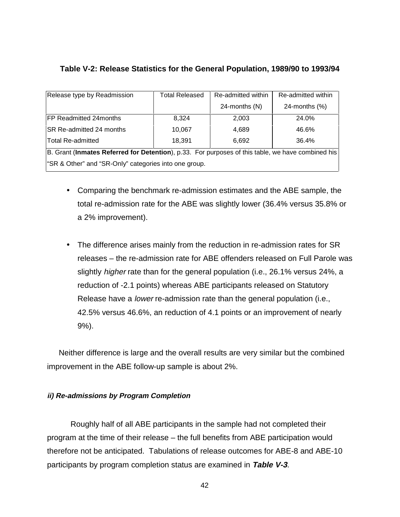## **Table V-2: Release Statistics for the General Population, 1989/90 to 1993/94**

| Release type by Readmission                                                                       | <b>Total Released</b> | Re-admitted within | Re-admitted within |  |  |
|---------------------------------------------------------------------------------------------------|-----------------------|--------------------|--------------------|--|--|
|                                                                                                   |                       | 24-months (N)      | 24-months $(\%)$   |  |  |
| FP Readmitted 24months                                                                            | 8.324                 | 2,003              | 24.0%              |  |  |
| SR Re-admitted 24 months                                                                          | 10.067                | 4,689              | 46.6%              |  |  |
| <b>Total Re-admitted</b>                                                                          | 18,391                | 6,692              | 36.4%              |  |  |
| B. Grant (Inmates Referred for Detention), p.33. For purposes of this table, we have combined his |                       |                    |                    |  |  |
| "SR & Other" and "SR-Only" categories into one group.                                             |                       |                    |                    |  |  |

- Comparing the benchmark re-admission estimates and the ABE sample, the total re-admission rate for the ABE was slightly lower (36.4% versus 35.8% or a 2% improvement).
- The difference arises mainly from the reduction in re-admission rates for SR releases – the re-admission rate for ABE offenders released on Full Parole was slightly *higher* rate than for the general population (i.e., 26.1% versus 24%, a reduction of -2.1 points) whereas ABE participants released on Statutory Release have a lower re-admission rate than the general population (i.e., 42.5% versus 46.6%, an reduction of 4.1 points or an improvement of nearly 9%).

Neither difference is large and the overall results are very similar but the combined improvement in the ABE follow-up sample is about 2%.

## **ii) Re-admissions by Program Completion**

Roughly half of all ABE participants in the sample had not completed their program at the time of their release – the full benefits from ABE participation would therefore not be anticipated. Tabulations of release outcomes for ABE-8 and ABE-10 participants by program completion status are examined in **Table V-3**.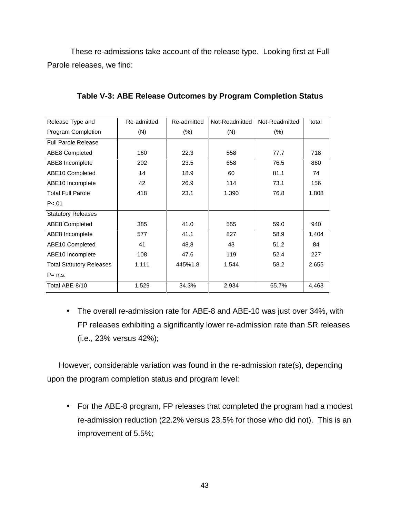These re-admissions take account of the release type. Looking first at Full Parole releases, we find:

| Release Type and                | Re-admitted | Re-admitted | Not-Readmitted | Not-Readmitted | total |
|---------------------------------|-------------|-------------|----------------|----------------|-------|
| Program Completion              | (N)         | $(\% )$     | (N)            | (% )           |       |
| Full Parole Release             |             |             |                |                |       |
| <b>ABE8 Completed</b>           | 160         | 22.3        | 558            | 77.7           | 718   |
| ABE8 Incomplete                 | 202         | 23.5        | 658            | 76.5           | 860   |
| ABE10 Completed                 | 14          | 18.9        | 60             | 81.1           | 74    |
| ABE10 Incomplete                | 42          | 26.9        | 114            | 73.1           | 156   |
| <b>Total Full Parole</b>        | 418         | 23.1        | 1,390          | 76.8           | 1,808 |
| P<.01                           |             |             |                |                |       |
| <b>Statutory Releases</b>       |             |             |                |                |       |
| ABE8 Completed                  | 385         | 41.0        | 555            | 59.0           | 940   |
| ABE8 Incomplete                 | 577         | 41.1        | 827            | 58.9           | 1,404 |
| ABE10 Completed                 | 41          | 48.8        | 43             | 51.2           | 84    |
| ABE10 Incomplete                | 108         | 47.6        | 119            | 52.4           | 227   |
| <b>Total Statutory Releases</b> | 1,111       | 445%1.8     | 1,544          | 58.2           | 2,655 |
| IP= n.s.                        |             |             |                |                |       |
| Total ABE-8/10                  | 1,529       | 34.3%       | 2,934          | 65.7%          | 4,463 |

**Table V-3: ABE Release Outcomes by Program Completion Status**

• The overall re-admission rate for ABE-8 and ABE-10 was just over 34%, with FP releases exhibiting a significantly lower re-admission rate than SR releases (i.e., 23% versus 42%);

However, considerable variation was found in the re-admission rate(s), depending upon the program completion status and program level:

• For the ABE-8 program, FP releases that completed the program had a modest re-admission reduction (22.2% versus 23.5% for those who did not). This is an improvement of 5.5%;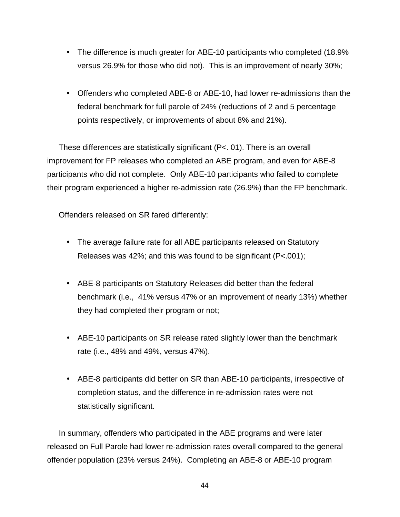- The difference is much greater for ABE-10 participants who completed (18.9% versus 26.9% for those who did not). This is an improvement of nearly 30%;
- Offenders who completed ABE-8 or ABE-10, had lower re-admissions than the federal benchmark for full parole of 24% (reductions of 2 and 5 percentage points respectively, or improvements of about 8% and 21%).

These differences are statistically significant (P<. 01). There is an overall improvement for FP releases who completed an ABE program, and even for ABE-8 participants who did not complete. Only ABE-10 participants who failed to complete their program experienced a higher re-admission rate (26.9%) than the FP benchmark.

Offenders released on SR fared differently:

- The average failure rate for all ABE participants released on Statutory Releases was 42%; and this was found to be significant (P<.001);
- ABE-8 participants on Statutory Releases did better than the federal benchmark (i.e., 41% versus 47% or an improvement of nearly 13%) whether they had completed their program or not;
- ABE-10 participants on SR release rated slightly lower than the benchmark rate (i.e., 48% and 49%, versus 47%).
- ABE-8 participants did better on SR than ABE-10 participants, irrespective of completion status, and the difference in re-admission rates were not statistically significant.

In summary, offenders who participated in the ABE programs and were later released on Full Parole had lower re-admission rates overall compared to the general offender population (23% versus 24%). Completing an ABE-8 or ABE-10 program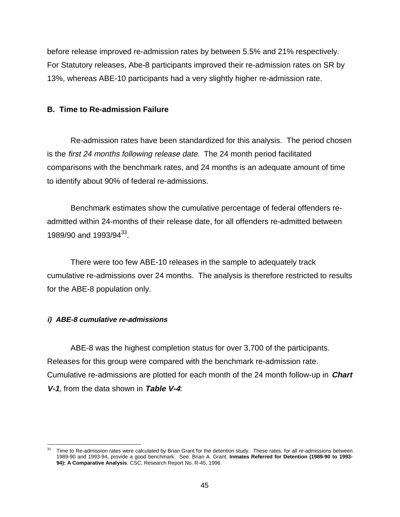before release improved re-admission rates by between 5.5% and 21% respectively. For Statutory releases, Abe-8 participants improved their re-admission rates on SR by 13%, whereas ABE-10 participants had a very slightly higher re-admission rate.

### **B. Time to Re-admission Failure**

Re-admission rates have been standardized for this analysis. The period chosen is the first 24 months following release date. The 24 month period facilitated comparisons with the benchmark rates, and 24 months is an adequate amount of time to identify about 90% of federal re-admissions.

Benchmark estimates show the cumulative percentage of federal offenders readmitted within 24-months of their release date, for all offenders re-admitted between 1989/90 and 1993/94<sup>33</sup>.

There were too few ABE-10 releases in the sample to adequately track cumulative re-admissions over 24 months. The analysis is therefore restricted to results for the ABE-8 population only.

## **i) ABE-8 cumulative re-admissions**

ABE-8 was the highest completion status for over 3,700 of the participants. Releases for this group were compared with the benchmark re-admission rate. Cumulative re-admissions are plotted for each month of the 24 month follow-up in **Chart V-1**, from the data shown in **Table V-4**:

<sup>33</sup> Time to Re-admission rates were calculated by Brian Grant for the detention study. These rates, for all re-admissions between 1989-90 and 1993-94, provide a good benchmark. See: Brian A. Grant. **Inmates Referred for Detention (1989-90 to 1993- 94): A Comparative Analysis**. CSC, Research Report No. R-45, 1996.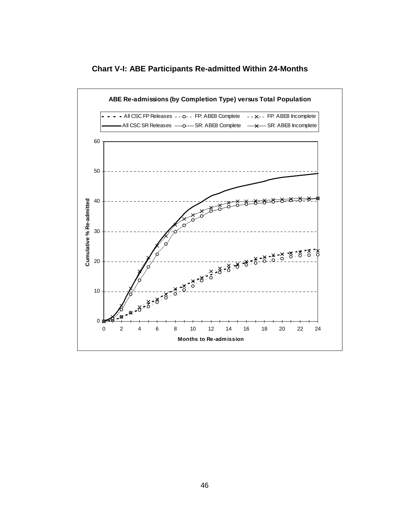

**Chart V-I: ABE Participants Re-admitted Within 24-Months**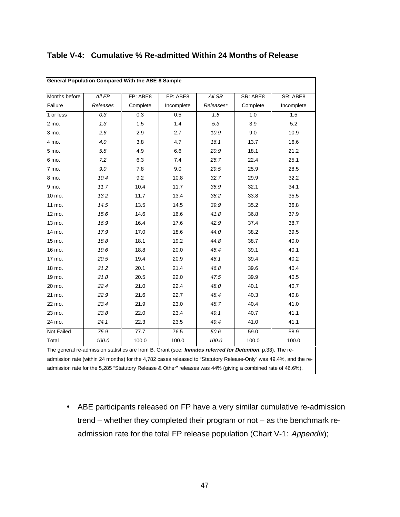| <b>General Population Compared With the ABE-8 Sample</b>                                                          |                                                                                                            |          |            |           |          |            |  |
|-------------------------------------------------------------------------------------------------------------------|------------------------------------------------------------------------------------------------------------|----------|------------|-----------|----------|------------|--|
| Months before                                                                                                     | All FP                                                                                                     | FP: ABE8 | FP: ABE8   | All SR    | SR: ABE8 | SR: ABE8   |  |
| Failure                                                                                                           | Releases                                                                                                   | Complete | Incomplete | Releases* | Complete | Incomplete |  |
| 1 or less                                                                                                         | 0.3                                                                                                        | 0.3      | 0.5        | 1.5       | 1.0      | 1.5        |  |
| 2 mo.                                                                                                             | 1.3                                                                                                        | 1.5      | 1.4        | 5.3       | 3.9      | 5.2        |  |
| 3 mo.                                                                                                             | 2.6                                                                                                        | 2.9      | 2.7        | 10.9      | 9.0      | 10.9       |  |
| 4 mo.                                                                                                             | 4.0                                                                                                        | 3.8      | 4.7        | 16.1      | 13.7     | 16.6       |  |
| 5 mo.                                                                                                             | 5.8                                                                                                        | 4.9      | 6.6        | 20.9      | 18.1     | 21.2       |  |
| 6 mo.                                                                                                             | 7.2                                                                                                        | 6.3      | 7.4        | 25.7      | 22.4     | 25.1       |  |
| 7 mo.                                                                                                             | 9.0                                                                                                        | 7.8      | 9.0        | 29.5      | 25.9     | 28.5       |  |
| 8 mo.                                                                                                             | 10.4                                                                                                       | 9.2      | 10.8       | 32.7      | 29.9     | 32.2       |  |
| 9 mo.                                                                                                             | 11.7                                                                                                       | 10.4     | 11.7       | 35.9      | 32.1     | 34.1       |  |
| 10 mo.                                                                                                            | 13.2                                                                                                       | 11.7     | 13.4       | 38.2      | 33.8     | 35.5       |  |
| 11 mo.                                                                                                            | 14.5                                                                                                       | 13.5     | 14.5       | 39.9      | 35.2     | 36.8       |  |
| 12 mo.                                                                                                            | 15.6                                                                                                       | 14.6     | 16.6       | 41.8      | 36.8     | 37.9       |  |
| 13 mo.                                                                                                            | 16.9                                                                                                       | 16.4     | 17.6       | 42.9      | 37.4     | 38.7       |  |
| 14 mo.                                                                                                            | 17.9                                                                                                       | 17.0     | 18.6       | 44.0      | 38.2     | 39.5       |  |
| 15 mo.                                                                                                            | 18.8                                                                                                       | 18.1     | 19.2       | 44.8      | 38.7     | 40.0       |  |
| 16 mo.                                                                                                            | 19.6                                                                                                       | 18.8     | 20.0       | 45.4      | 39.1     | 40.1       |  |
| 17 mo.                                                                                                            | 20.5                                                                                                       | 19.4     | 20.9       | 46.1      | 39.4     | 40.2       |  |
| 18 mo.                                                                                                            | 21.2                                                                                                       | 20.1     | 21.4       | 46.8      | 39.6     | 40.4       |  |
| 19 mo.                                                                                                            | 21.8                                                                                                       | 20.5     | 22.0       | 47.5      | 39.9     | 40.5       |  |
| 20 mo.                                                                                                            | 22.4                                                                                                       | 21.0     | 22.4       | 48.0      | 40.1     | 40.7       |  |
| 21 mo.                                                                                                            | 22.9                                                                                                       | 21.6     | 22.7       | 48.4      | 40.3     | 40.8       |  |
| 22 mo.                                                                                                            | 23.4                                                                                                       | 21.9     | 23.0       | 48.7      | 40.4     | 41.0       |  |
| 23 mo.                                                                                                            | 23.8                                                                                                       | 22.0     | 23.4       | 49.1      | 40.7     | 41.1       |  |
| 24 mo.                                                                                                            | 24.1                                                                                                       | 22.3     | 23.5       | 49.4      | 41.0     | 41.1       |  |
| Not Failed                                                                                                        | 75.9                                                                                                       | 77.7     | 76.5       | 50.6      | 59.0     | 58.9       |  |
| Total                                                                                                             | 100.0                                                                                                      | 100.0    | 100.0      | 100.0     | 100.0    | 100.0      |  |
|                                                                                                                   | The general re-admission statistics are from B. Grant (see: Inmates referred for Detention, p.33). The re- |          |            |           |          |            |  |
| admission rate (within 24 months) for the 4,782 cases released to "Statutory Release-Only" was 49.4%, and the re- |                                                                                                            |          |            |           |          |            |  |
| admission rate for the 5,285 "Statutory Release & Other" releases was 44% (giving a combined rate of 46.6%).      |                                                                                                            |          |            |           |          |            |  |

# **Table V-4: Cumulative % Re-admitted Within 24 Months of Release**

• ABE participants released on FP have a very similar cumulative re-admission trend – whether they completed their program or not – as the benchmark readmission rate for the total FP release population (Chart V-1: Appendix);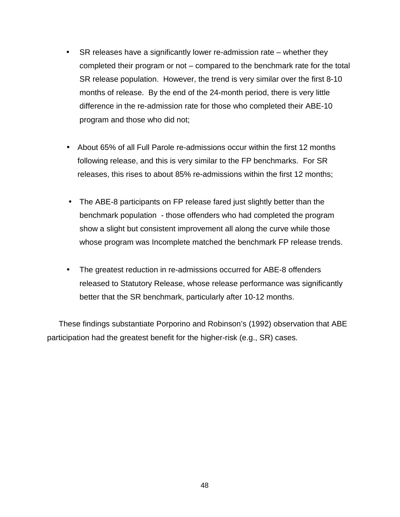- SR releases have a significantly lower re-admission rate whether they completed their program or not – compared to the benchmark rate for the total SR release population. However, the trend is very similar over the first 8-10 months of release. By the end of the 24-month period, there is very little difference in the re-admission rate for those who completed their ABE-10 program and those who did not;
- About 65% of all Full Parole re-admissions occur within the first 12 months following release, and this is very similar to the FP benchmarks. For SR releases, this rises to about 85% re-admissions within the first 12 months;
- The ABE-8 participants on FP release fared just slightly better than the benchmark population - those offenders who had completed the program show a slight but consistent improvement all along the curve while those whose program was Incomplete matched the benchmark FP release trends.
- The greatest reduction in re-admissions occurred for ABE-8 offenders released to Statutory Release, whose release performance was significantly better that the SR benchmark, particularly after 10-12 months.

These findings substantiate Porporino and Robinson's (1992) observation that ABE participation had the greatest benefit for the higher-risk (e.g., SR) cases.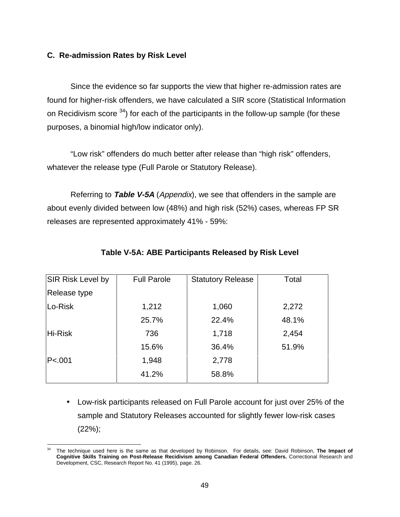## **C. Re-admission Rates by Risk Level**

Since the evidence so far supports the view that higher re-admission rates are found for higher-risk offenders, we have calculated a SIR score (Statistical Information on Recidivism score  $34$ ) for each of the participants in the follow-up sample (for these purposes, a binomial high/low indicator only).

"Low risk" offenders do much better after release than "high risk" offenders, whatever the release type (Full Parole or Statutory Release).

Referring to **Table V-5A** (Appendix), we see that offenders in the sample are about evenly divided between low (48%) and high risk (52%) cases, whereas FP SR releases are represented approximately 41% - 59%:

| <b>SIR Risk Level by</b> | <b>Full Parole</b> | <b>Statutory Release</b> | Total |
|--------------------------|--------------------|--------------------------|-------|
| Release type             |                    |                          |       |
| Lo-Risk                  | 1,212              | 1,060                    | 2,272 |
|                          | 25.7%              | 22.4%                    | 48.1% |
| Hi-Risk                  | 736                | 1,718                    | 2,454 |
|                          | 15.6%              | 36.4%                    | 51.9% |
| P<.001                   | 1,948              | 2,778                    |       |
|                          | 41.2%              | 58.8%                    |       |

## **Table V-5A: ABE Participants Released by Risk Level**

• Low-risk participants released on Full Parole account for just over 25% of the sample and Statutory Releases accounted for slightly fewer low-risk cases (22%);

 $\overline{a}$ 34 The technique used here is the same as that developed by Robinson. For details, see: David Robinson, **The Impact of Cognitive Skills Training on Post-Release Recidivism among Canadian Federal Offenders.** Correctional Research and Development, CSC, Research Report No. 41 (1995), page. 26.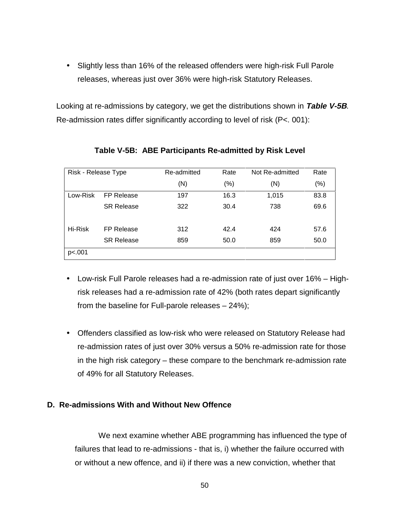• Slightly less than 16% of the released offenders were high-risk Full Parole releases, whereas just over 36% were high-risk Statutory Releases.

Looking at re-admissions by category, we get the distributions shown in **Table V-5B**. Re-admission rates differ significantly according to level of risk (P<. 001):

| Risk - Release Type |                   | Re-admitted | Rate   | Not Re-admitted | Rate |
|---------------------|-------------------|-------------|--------|-----------------|------|
|                     |                   | (N)         | $(\%)$ | (N)             | (% ) |
| Low-Risk            | FP Release        | 197         | 16.3   | 1,015           | 83.8 |
|                     | <b>SR Release</b> | 322         | 30.4   | 738             | 69.6 |
| Hi-Risk             | FP Release        | 312         | 42.4   | 424             | 57.6 |
|                     | <b>SR Release</b> | 859         | 50.0   | 859             | 50.0 |
| p<.001              |                   |             |        |                 |      |

## **Table V-5B: ABE Participants Re-admitted by Risk Level**

- Low-risk Full Parole releases had a re-admission rate of just over 16% Highrisk releases had a re-admission rate of 42% (both rates depart significantly from the baseline for Full-parole releases – 24%);
- Offenders classified as low-risk who were released on Statutory Release had re-admission rates of just over 30% versus a 50% re-admission rate for those in the high risk category – these compare to the benchmark re-admission rate of 49% for all Statutory Releases.

## **D. Re-admissions With and Without New Offence**

We next examine whether ABE programming has influenced the type of failures that lead to re-admissions - that is, i) whether the failure occurred with or without a new offence, and ii) if there was a new conviction, whether that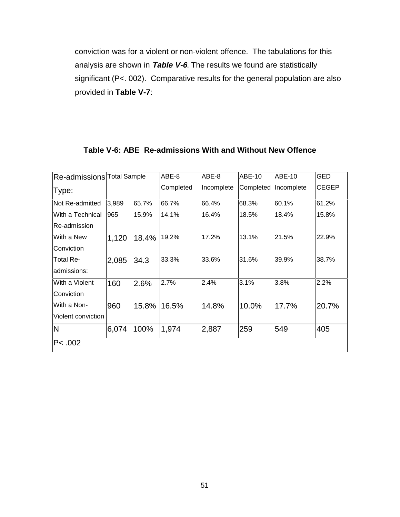conviction was for a violent or non-violent offence. The tabulations for this analysis are shown in **Table V-6**. The results we found are statistically significant (P<. 002). Comparative results for the general population are also provided in **Table V-7**:

| Re-admissions Total Sample |       |       | ABE-8     | ABE-8      | <b>ABE-10</b> | ABE-10               | <b>GED</b>   |
|----------------------------|-------|-------|-----------|------------|---------------|----------------------|--------------|
| Type:                      |       |       | Completed | Incomplete |               | Completed Incomplete | <b>CEGEP</b> |
| lNot Re-admitted           | 3,989 | 65.7% | 66.7%     | 66.4%      | 68.3%         | 60.1%                | 61.2%        |
| With a Technical           | 965   | 15.9% | 14.1%     | 16.4%      | 18.5%         | 18.4%                | 15.8%        |
| lRe-admission              |       |       |           |            |               |                      |              |
| lWith a New                | 1,120 | 18.4% | 19.2%     | 17.2%      | 13.1%         | 21.5%                | 22.9%        |
| Conviction                 |       |       |           |            |               |                      |              |
| <b>Total Re-</b>           | 2,085 | 34.3  | 33.3%     | 33.6%      | 31.6%         | 39.9%                | 38.7%        |
| ladmissions:               |       |       |           |            |               |                      |              |
| With a Violent             | 160   | 2.6%  | 2.7%      | 2.4%       | 3.1%          | 3.8%                 | 2.2%         |
| Conviction                 |       |       |           |            |               |                      |              |
| With a Non-                | 960   | 15.8% | 16.5%     | 14.8%      | 10.0%         | 17.7%                | 20.7%        |
| Violent conviction         |       |       |           |            |               |                      |              |
| N                          | 6,074 | 100%  | 1,974     | 2,887      | 259           | 549                  | 405          |
| P< .002                    |       |       |           |            |               |                      |              |

## **Table V-6: ABE Re-admissions With and Without New Offence**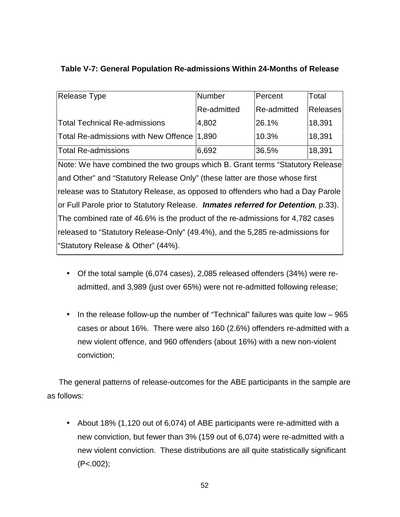| Table V-7: General Population Re-admissions Within 24-Months of Release |  |
|-------------------------------------------------------------------------|--|
|                                                                         |  |

| Release Type                                                                      | Number      | Percent     | Total           |  |  |  |
|-----------------------------------------------------------------------------------|-------------|-------------|-----------------|--|--|--|
|                                                                                   | Re-admitted | Re-admitted | <b>Releases</b> |  |  |  |
| <b>Total Technical Re-admissions</b>                                              | 4,802       | 26.1%       | 18,391          |  |  |  |
| Total Re-admissions with New Offence                                              | 1,890       | 10.3%       | 18,391          |  |  |  |
| <b>Total Re-admissions</b>                                                        | 6,692       | 36.5%       | 18,391          |  |  |  |
| Note: We have combined the two groups which B. Grant terms "Statutory Release     |             |             |                 |  |  |  |
| and Other" and "Statutory Release Only" (these latter are those whose first       |             |             |                 |  |  |  |
| release was to Statutory Release, as opposed to offenders who had a Day Parole    |             |             |                 |  |  |  |
| or Full Parole prior to Statutory Release. Inmates referred for Detention, p.33). |             |             |                 |  |  |  |
| The combined rate of 46.6% is the product of the re-admissions for 4,782 cases    |             |             |                 |  |  |  |
| released to "Statutory Release-Only" (49.4%), and the 5,285 re-admissions for     |             |             |                 |  |  |  |
| "Statutory Release & Other" (44%).                                                |             |             |                 |  |  |  |

- Of the total sample (6,074 cases), 2,085 released offenders (34%) were readmitted, and 3,989 (just over 65%) were not re-admitted following release;
- In the release follow-up the number of "Technical" failures was quite low 965 cases or about 16%. There were also 160 (2.6%) offenders re-admitted with a new violent offence, and 960 offenders (about 16%) with a new non-violent conviction;

The general patterns of release-outcomes for the ABE participants in the sample are as follows:

• About 18% (1,120 out of 6,074) of ABE participants were re-admitted with a new conviction, but fewer than 3% (159 out of 6,074) were re-admitted with a new violent conviction. These distributions are all quite statistically significant (P<.002);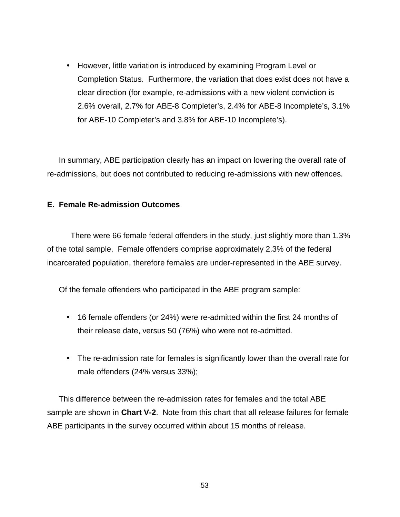• However, little variation is introduced by examining Program Level or Completion Status. Furthermore, the variation that does exist does not have a clear direction (for example, re-admissions with a new violent conviction is 2.6% overall, 2.7% for ABE-8 Completer's, 2.4% for ABE-8 Incomplete's, 3.1% for ABE-10 Completer's and 3.8% for ABE-10 Incomplete's).

In summary, ABE participation clearly has an impact on lowering the overall rate of re-admissions, but does not contributed to reducing re-admissions with new offences.

## **E. Female Re-admission Outcomes**

There were 66 female federal offenders in the study, just slightly more than 1.3% of the total sample. Female offenders comprise approximately 2.3% of the federal incarcerated population, therefore females are under-represented in the ABE survey.

Of the female offenders who participated in the ABE program sample:

- 16 female offenders (or 24%) were re-admitted within the first 24 months of their release date, versus 50 (76%) who were not re-admitted.
- The re-admission rate for females is significantly lower than the overall rate for male offenders (24% versus 33%);

This difference between the re-admission rates for females and the total ABE sample are shown in **Chart V-2**. Note from this chart that all release failures for female ABE participants in the survey occurred within about 15 months of release.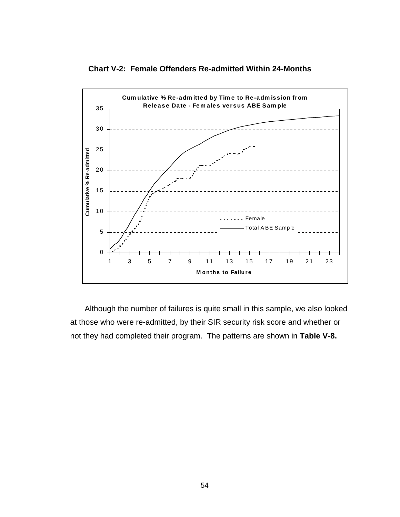**Chart V-2: Female Offenders Re-admitted Within 24-Months**



Although the number of failures is quite small in this sample, we also looked at those who were re-admitted, by their SIR security risk score and whether or not they had completed their program. The patterns are shown in **Table V-8.**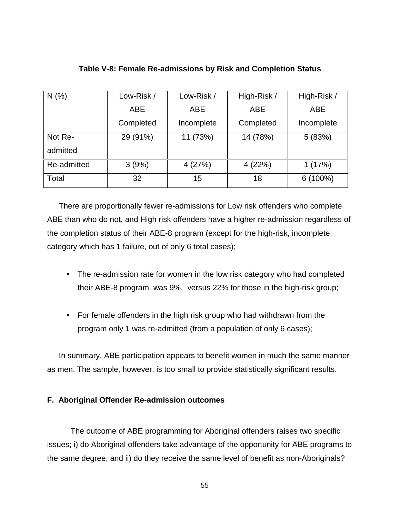| N(%         | Low-Risk / | Low-Risk / | High-Risk / | High-Risk / |  |
|-------------|------------|------------|-------------|-------------|--|
|             | <b>ABE</b> | <b>ABE</b> | <b>ABE</b>  | <b>ABE</b>  |  |
|             | Completed  | Incomplete | Completed   | Incomplete  |  |
| Not Re-     | 29 (91%)   | 11 (73%)   | 14 (78%)    | 5(83%)      |  |
| admitted    |            |            |             |             |  |
| Re-admitted | 3(9%)      | 4(27%)     | 4(22%)      | 1(17%)      |  |
| Total       | 32         | 15         | 18          | $6(100\%)$  |  |

## **Table V-8: Female Re-admissions by Risk and Completion Status**

There are proportionally fewer re-admissions for Low risk offenders who complete ABE than who do not, and High risk offenders have a higher re-admission regardless of the completion status of their ABE-8 program (except for the high-risk, incomplete category which has 1 failure, out of only 6 total cases);

- The re-admission rate for women in the low risk category who had completed their ABE-8 program was 9%, versus 22% for those in the high-risk group;
- For female offenders in the high risk group who had withdrawn from the program only 1 was re-admitted (from a population of only 6 cases);

In summary, ABE participation appears to benefit women in much the same manner as men. The sample, however, is too small to provide statistically significant results.

## **F. Aboriginal Offender Re-admission outcomes**

The outcome of ABE programming for Aboriginal offenders raises two specific issues; i) do Aboriginal offenders take advantage of the opportunity for ABE programs to the same degree; and ii) do they receive the same level of benefit as non-Aboriginals?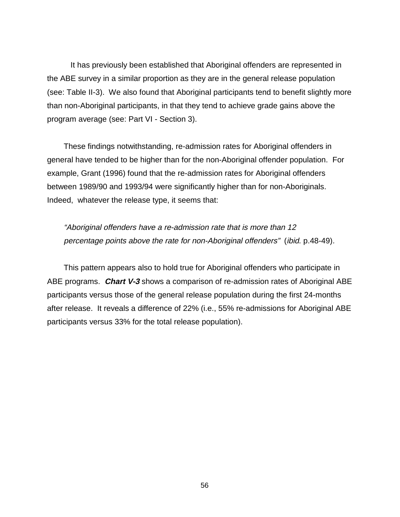It has previously been established that Aboriginal offenders are represented in the ABE survey in a similar proportion as they are in the general release population (see: Table II-3). We also found that Aboriginal participants tend to benefit slightly more than non-Aboriginal participants, in that they tend to achieve grade gains above the program average (see: Part VI - Section 3).

These findings notwithstanding, re-admission rates for Aboriginal offenders in general have tended to be higher than for the non-Aboriginal offender population. For example, Grant (1996) found that the re-admission rates for Aboriginal offenders between 1989/90 and 1993/94 were significantly higher than for non-Aboriginals. Indeed, whatever the release type, it seems that:

"Aboriginal offenders have a re-admission rate that is more than 12 percentage points above the rate for non-Aboriginal offenders" (ibid. p.48-49).

This pattern appears also to hold true for Aboriginal offenders who participate in ABE programs. **Chart V-3** shows a comparison of re-admission rates of Aboriginal ABE participants versus those of the general release population during the first 24-months after release. It reveals a difference of 22% (i.e., 55% re-admissions for Aboriginal ABE participants versus 33% for the total release population).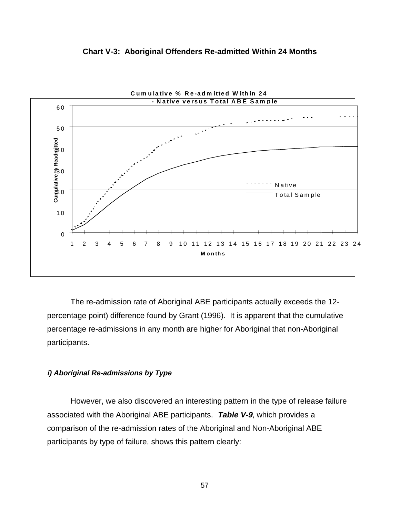

#### **Chart V-3: Aboriginal Offenders Re-admitted Within 24 Months**

The re-admission rate of Aboriginal ABE participants actually exceeds the 12 percentage point) difference found by Grant (1996). It is apparent that the cumulative percentage re-admissions in any month are higher for Aboriginal that non-Aboriginal participants.

#### **i) Aboriginal Re-admissions by Type**

However, we also discovered an interesting pattern in the type of release failure associated with the Aboriginal ABE participants. **Table V-9**, which provides a comparison of the re-admission rates of the Aboriginal and Non-Aboriginal ABE participants by type of failure, shows this pattern clearly: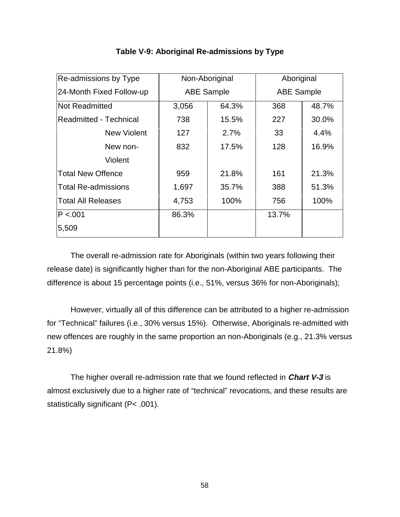| <b>Re-admissions by Type</b>  |                   | Non-Aboriginal | Aboriginal        |       |
|-------------------------------|-------------------|----------------|-------------------|-------|
| 24-Month Fixed Follow-up      | <b>ABE Sample</b> |                | <b>ABE Sample</b> |       |
| <b>Not Readmitted</b>         | 3,056             | 64.3%          | 368               | 48.7% |
| <b>Readmitted - Technical</b> | 738               | 15.5%          | 227               | 30.0% |
| <b>New Violent</b>            | 127               | 2.7%           | 33                | 4.4%  |
| New non-                      | 832               | 17.5%          | 128               | 16.9% |
| Violent                       |                   |                |                   |       |
| <b>Total New Offence</b>      | 959               | 21.8%          | 161               | 21.3% |
| <b>Total Re-admissions</b>    | 1,697             | 35.7%          | 388               | 51.3% |
| Total All Releases            | 4,753             | 100%           | 756               | 100%  |
| P < 0.01                      | 86.3%             |                | 13.7%             |       |
| 5,509                         |                   |                |                   |       |

## **Table V-9: Aboriginal Re-admissions by Type**

The overall re-admission rate for Aboriginals (within two years following their release date) is significantly higher than for the non-Aboriginal ABE participants. The difference is about 15 percentage points (i.e., 51%, versus 36% for non-Aboriginals);

However, virtually all of this difference can be attributed to a higher re-admission for "Technical" failures (i.e., 30% versus 15%). Otherwise, Aboriginals re-admitted with new offences are roughly in the same proportion an non-Aboriginals (e.g., 21.3% versus 21.8%)

The higher overall re-admission rate that we found reflected in **Chart V-3** is almost exclusively due to a higher rate of "technical" revocations, and these results are statistically significant (P< .001).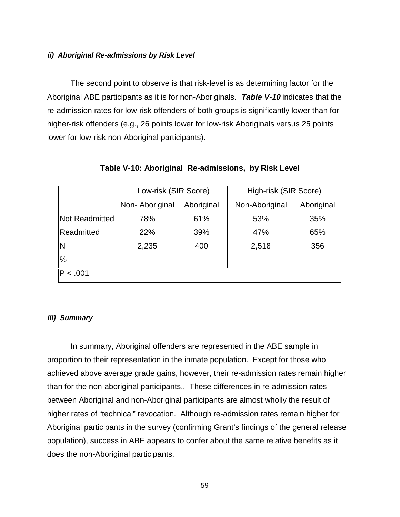### **ii) Aboriginal Re-admissions by Risk Level**

The second point to observe is that risk-level is as determining factor for the Aboriginal ABE participants as it is for non-Aboriginals. **Table V-10** indicates that the re-admission rates for low-risk offenders of both groups is significantly lower than for higher-risk offenders (e.g., 26 points lower for low-risk Aboriginals versus 25 points lower for low-risk non-Aboriginal participants).

|                       | Low-risk (SIR Score) |            | High-risk (SIR Score) |            |
|-----------------------|----------------------|------------|-----------------------|------------|
|                       | Non- Aboriginal      | Aboriginal | Non-Aboriginal        | Aboriginal |
| <b>Not Readmitted</b> | 78%                  | 61%        | 53%                   | 35%        |
| Readmitted            | 22%                  | 39%        | 47%                   | 65%        |
| N                     | 2,235                | 400        | 2,518                 | 356        |
| %                     |                      |            |                       |            |
| P < .001              |                      |            |                       |            |

## **Table V-10: Aboriginal Re-admissions, by Risk Level**

#### **iii) Summary**

In summary, Aboriginal offenders are represented in the ABE sample in proportion to their representation in the inmate population. Except for those who achieved above average grade gains, however, their re-admission rates remain higher than for the non-aboriginal participants,. These differences in re-admission rates between Aboriginal and non-Aboriginal participants are almost wholly the result of higher rates of "technical" revocation. Although re-admission rates remain higher for Aboriginal participants in the survey (confirming Grant's findings of the general release population), success in ABE appears to confer about the same relative benefits as it does the non-Aboriginal participants.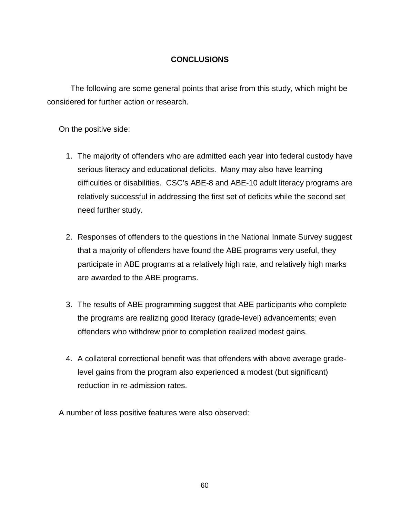# **CONCLUSIONS**

The following are some general points that arise from this study, which might be considered for further action or research.

On the positive side:

- 1. The majority of offenders who are admitted each year into federal custody have serious literacy and educational deficits. Many may also have learning difficulties or disabilities. CSC's ABE-8 and ABE-10 adult literacy programs are relatively successful in addressing the first set of deficits while the second set need further study.
- 2. Responses of offenders to the questions in the National Inmate Survey suggest that a majority of offenders have found the ABE programs very useful, they participate in ABE programs at a relatively high rate, and relatively high marks are awarded to the ABE programs.
- 3. The results of ABE programming suggest that ABE participants who complete the programs are realizing good literacy (grade-level) advancements; even offenders who withdrew prior to completion realized modest gains.
- 4. A collateral correctional benefit was that offenders with above average gradelevel gains from the program also experienced a modest (but significant) reduction in re-admission rates.

A number of less positive features were also observed: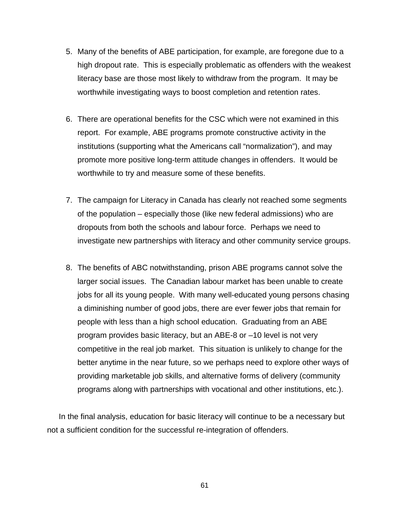- 5. Many of the benefits of ABE participation, for example, are foregone due to a high dropout rate. This is especially problematic as offenders with the weakest literacy base are those most likely to withdraw from the program. It may be worthwhile investigating ways to boost completion and retention rates.
- 6. There are operational benefits for the CSC which were not examined in this report. For example, ABE programs promote constructive activity in the institutions (supporting what the Americans call "normalization"), and may promote more positive long-term attitude changes in offenders. It would be worthwhile to try and measure some of these benefits.
- 7. The campaign for Literacy in Canada has clearly not reached some segments of the population – especially those (like new federal admissions) who are dropouts from both the schools and labour force. Perhaps we need to investigate new partnerships with literacy and other community service groups.
- 8. The benefits of ABC notwithstanding, prison ABE programs cannot solve the larger social issues. The Canadian labour market has been unable to create jobs for all its young people. With many well-educated young persons chasing a diminishing number of good jobs, there are ever fewer jobs that remain for people with less than a high school education. Graduating from an ABE program provides basic literacy, but an ABE-8 or –10 level is not very competitive in the real job market. This situation is unlikely to change for the better anytime in the near future, so we perhaps need to explore other ways of providing marketable job skills, and alternative forms of delivery (community programs along with partnerships with vocational and other institutions, etc.).

In the final analysis, education for basic literacy will continue to be a necessary but not a sufficient condition for the successful re-integration of offenders.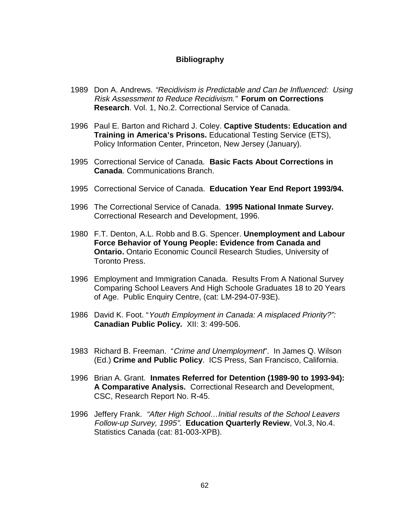## **Bibliography**

- 1989 Don A. Andrews. "Recidivism is Predictable and Can be Influenced: Using Risk Assessment to Reduce Recidivism." **Forum on Corrections Research**. Vol. 1, No.2. Correctional Service of Canada.
- 1996 Paul E. Barton and Richard J. Coley. **Captive Students: Education and Training in America's Prisons.** Educational Testing Service (ETS), Policy Information Center, Princeton, New Jersey (January).
- 1995 Correctional Service of Canada. **Basic Facts About Corrections in Canada**. Communications Branch.
- 1995 Correctional Service of Canada. **Education Year End Report 1993/94.**
- 1996 The Correctional Service of Canada. **1995 National Inmate Survey.** Correctional Research and Development, 1996.
- 1980 F.T. Denton, A.L. Robb and B.G. Spencer. **Unemployment and Labour Force Behavior of Young People: Evidence from Canada and Ontario.** Ontario Economic Council Research Studies, University of Toronto Press.
- 1996 Employment and Immigration Canada. Results From A National Survey Comparing School Leavers And High Schoole Graduates 18 to 20 Years of Age. Public Enquiry Centre, (cat: LM-294-07-93E).
- 1986 David K. Foot. "Youth Employment in Canada: A misplaced Priority?": **Canadian Public Policy.** XII: 3: 499-506.
- 1983 Richard B. Freeman. "Crime and Unemployment". In James Q. Wilson (Ed.) **Crime and Public Policy**. ICS Press, San Francisco, California.
- 1996 Brian A. Grant. **Inmates Referred for Detention (1989-90 to 1993-94): A Comparative Analysis.** Correctional Research and Development, CSC, Research Report No. R-45.
- 1996 Jeffery Frank. "After High School…Initial results of the School Leavers Follow-up Survey, 1995". **Education Quarterly Review**, Vol.3, No.4. Statistics Canada (cat: 81-003-XPB).